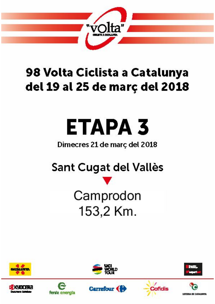

### 98 Volta Ciclista a Catalunya del 19 al 25 de març del 2018

# ЕТАРА 3

### Dimecres 21 de març del 2018

## Sant Cugat del Vallès

# Camprodon 153,2 Km.















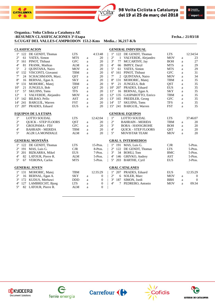

 $\bullet$ 



#### **Organiza.: Volta Ciclista a Catalunya AE -RESUMEN CLASIFICACIONES 3ª-Etapa Fecha..: 21/03/18 S.CUGAT DEL VALLES-CAMPRODON 153.2-Kms Media..: 36,217-K/h**

|              |              | <b>CLASIFICACION</b>       |            |   |                  |                |              | <b>GENERAL INDIVIDUAL</b>    |            |             |                  |
|--------------|--------------|----------------------------|------------|---|------------------|----------------|--------------|------------------------------|------------|-------------|------------------|
| $1^{\circ}$  | 122          | DE GENDT, Thomas           | <b>LTS</b> |   | 4:13:48          | $1^{\circ}$    |              | 122 DE GENDT, Thomas         | <b>LTS</b> |             | 12:34:54         |
| $2^{\circ}$  | 61           | YATES, Simon               | <b>MTS</b> | a | 20               | $2^{\circ}$    | $\mathbf{1}$ | VALVERDE, Alejandro          | <b>MOV</b> | $\mathbf a$ | 23               |
| $3^{\circ}$  | 161          | PINOT, Thibaut             | <b>GFC</b> | a | 20               | $3^{\circ}$    | 77           | MCCARTHY, Jay                | <b>BOH</b> | a           | 27               |
| $4^{\circ}$  | 81           | FRANK, Mathias             | <b>ALM</b> | a | 20               | $4^{\circ}$    | 66           | IMPEY, Daryl                 | <b>MTS</b> | a           | 29               |
| $5^{\circ}$  | 2            | QUINTANA, Nairo            | <b>MOV</b> | a | 20               | $5^{\circ}$    | 61           | YATES, Simon                 | <b>MTS</b> | a           | 29               |
| $6^{\circ}$  | 132          | VISCONTI, Giovanni         | <b>TBM</b> | a | 20               | $6^{\circ}$    | 161          | PINOT, Thibaut               | <b>GFC</b> | a           | 31               |
| $7^{\circ}$  | 24           | SCHACHMANN, Maxi.          | <b>QST</b> | a | 20               | $7^{\circ}$    | 2            | QUINTANA, Nairo              | <b>MOV</b> | a           | 34               |
| $8^{\circ}$  | 16           | BERNAL, Egan A.            | <b>SKY</b> | a | 20               | $8^{\circ}$    | 131          | MOHORIC, Matej               | <b>TBM</b> | a           | 35               |
| $9^{\circ}$  | 131          | MOHORIC, Matej             | <b>TBM</b> | a | 20               | $9^{\circ}$    | 21           | <b>JUNGELS, Bob</b>          | QST        | a           | 35               |
| $10^{\circ}$ | 21           | JUNGELS, Bob               | <b>QST</b> | a | 20               | $10^{\circ}$   |              | 207 PRADES, Eduard           | <b>EUS</b> | a           | 35               |
| $11^{\circ}$ | 57           | <b>SKUJINS, Toms</b>       | <b>TFS</b> | a | 20               | $11^{\circ}$   | 16           | BERNAL, Egan A.              | <b>SKY</b> | a           | 35               |
| $12^{\circ}$ | $\mathbf{1}$ | VALVERDE, Alejandro        | <b>MOV</b> | a | 20               | $12^{\circ}$   | 135          | GASPAROTTO, Enrico           | <b>TBM</b> | a           | 35               |
| $13^{\circ}$ | 142          | BILBAO, Pello              | <b>AST</b> | a | 20               | $13^{\circ}$   | 165          | PREIDLER, Georg              | <b>GFC</b> | a           | 35               |
| $14^{\circ}$ | 241          | <b>BARGUIL, Warren</b>     | <b>FST</b> | a | 20               | $14^{\circ}$   | 57           | <b>SKUJINS, Toms</b>         | <b>TFS</b> | a           | 35               |
| $15^{\circ}$ | 207          | PRADES, Eduard             | <b>EUS</b> | a | 20               | $15^{\circ}$   |              | 241 BARGUIL, Warren          | <b>FST</b> | a           | 35               |
|              |              | <b>EQUIPOS DE LA ETAPA</b> |            |   |                  |                |              | <b>GENERAL EQUIPOS</b>       |            |             |                  |
| $1^{\circ}$  |              | <b>LOTTO SOUDAL</b>        | <b>LTS</b> |   | 12:42:04         | $1^{\circ}$    |              | <b>LOTTO SOUDAL</b>          | <b>LTS</b> |             | 37:46:07         |
| $2^{\rm o}$  |              | <b>OUICK - STEP FLOORS</b> | <b>QST</b> | a | 20               | $2^{\circ}$    |              | <b>BAHRAIN - MERIDA</b>      | <b>TBM</b> | a           | 20               |
| $3^{\rm o}$  |              | <b>GROUPAMA - FDJ</b>      | <b>GFC</b> | a | 20               | $3^{\circ}$    |              | <b>BORA - HANSGROHE</b>      | <b>BOH</b> | a           | 20               |
| $4^{\rm o}$  |              | <b>BAHRAIN - MERIDA</b>    | TBM        | a | 20               | $4^{\circ}$    |              | <b>QUICK - STEP FLOORS</b>   | QST        | a           | 20               |
| $5^{\circ}$  |              | <b>AG2R LA MONDIALE</b>    | <b>ALM</b> | a | 20               | $5^\mathrm{o}$ |              | <b>MOVISTAR TEAM</b>         | <b>MOV</b> | a           | 20               |
|              |              | <b>GENERAL MONTAÑA</b>     |            |   |                  |                |              | <b>GRAL S. INTERMEDIOS</b>   |            |             |                  |
|              |              | 1° 122 DE GENDT, Thomas    | <b>LTS</b> |   | 15-Ptos.         |                |              | $1^{\circ}$ 191 MAS, Luis G. | <b>CJR</b> |             | 5-Ptos.          |
| $2^{\circ}$  | 191          | MAS, Luis G.               | <b>CJR</b> |   | 8-Ptos.          | $2^{\circ}$    |              | 122 DE GENDT, Thomas         | <b>LTS</b> |             | 5-Ptos.          |
| $3^{\circ}$  |              | 201 BIZKARRA, Mikel        | <b>EUS</b> |   | 7-Ptos.          | $3^{\circ}$    |              | 34 BOHLI, Tom                | <b>BMC</b> |             | 5-Ptos.          |
| $4^{\circ}$  |              | 82 LATOUR, Pierre R.       | <b>ALM</b> |   | 5-Ptos.          | $4^{\circ}$    |              | 146 GRIVKO, Andrey           | <b>AST</b> |             | 5-Ptos.          |
| $5^{\circ}$  |              | 67 VERONA, Carlos          | <b>MTS</b> |   | 5-Ptos.          | $5^{\circ}$    |              | 203 BARTHE, Cyril            | <b>EUS</b> |             | 3-Ptos.          |
|              |              |                            |            |   |                  |                |              |                              |            |             |                  |
|              |              | <b>GENERAL JOVEN</b>       |            |   |                  |                |              | <b>GRAL CATALANES</b>        |            |             |                  |
| $1^{\circ}$  |              | 131 MOHORIC, Matej         | <b>TBM</b> |   | 12:35:29         | $1^{\circ}$    |              | 207 PRADES, Eduard           | <b>EUS</b> |             | 12:35:29         |
| $2^{\circ}$  | 16           | BERNAL, Egan A.            | <b>SKY</b> | a | $\mathbf{0}$     | $2^{\circ}$    | 6            | SOLER, Marc                  | <b>MOV</b> | a           | $\boldsymbol{0}$ |
| $3^{\circ}$  | 172          | KUDUS, Merhawi             | <b>DDD</b> | a | $\boldsymbol{0}$ | $3^{\circ}$    | 187          | SIMON, Jordi                 | <b>BBH</b> | a           | $\overline{0}$   |
| $4^{\circ}$  | 127          | LAMBRECHT, Bjorg           | <b>LTS</b> | a | $\boldsymbol{0}$ | $4^{\circ}$    | 7            | PEDRERO, Antonio             | <b>MOV</b> | a           | 09:34            |
| $5^{\circ}$  |              | 82 LATOUR, Pierre R.       | <b>ALM</b> | a | $\overline{0}$   |                |              |                              |            |             |                  |









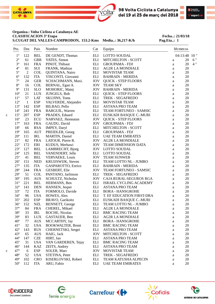



#### **Organiza.: Volta Ciclista a Catalunya AE CLASIFICACION 3ª Etapa Fecha..: 21/03/18 S.CUGAT DEL VALLES-CAMPRODON, 153.2-Kms Media..: 36,217-K/h Pag.Eta..: 1**

| Pto.<br>- - - | Dor.             | Pais                               | Nombre                   | Cat                | Equipo<br>________________ |          | hh:mm:ss |
|---------------|------------------|------------------------------------|--------------------------|--------------------|----------------------------|----------|----------|
| $1^{\circ}$   | ---<br>122       | $- - - -$<br><b>BEL</b>            | DE GENDT, Thomas         | ELI                | LOTTO SOUDAL               |          | 04:13:48 |
| $2^{\circ}$   | 61               | <b>GBR</b>                         | YATES, Simon             | <b>ELI</b>         | MITCHELTON - SCOTT         | a        | 20       |
| $3^{\circ}$   | 161              | <b>FRA</b>                         | PINOT, Thibaut           | ELI                | <b>GROUPAMA - FDJ</b>      | a        | 20       |
| $4^{\circ}$   | 81               | SUI                                | FRANK, Mathias           | $\mathop{\rm ELI}$ | <b>AG2R LA MONDIALE</b>    | a        | 20       |
| $5^{\circ}$   | $\overline{2}$   | <b>COL</b>                         | QUINTANA, Nairo          | $\mathop{\rm ELI}$ | MOVISTAR TEAM              | a        | 20       |
| $6^{\circ}$   | 132              | <b>ITA</b>                         | VISCONTI, Giovanni       | ELI                | <b>BAHRAIN - MERIDA</b>    | a        | 20       |
| $7^{\circ}$   | 24               | <b>GER</b>                         | SCHACHMANN, Maxi.        | <b>JOV</b>         | <b>QUICK - STEP FLOORS</b> | a        | 20       |
| $8^{\rm o}$   | 16               | <b>COL</b>                         | BERNAL, Egan A.          | <b>JOV</b>         | <b>TEAM SKY</b>            | a        | 20       |
| $9^{\circ}$   | 131              | <b>SLO</b>                         | MOHORIC, Matej           | <b>JOV</b>         | <b>BAHRAIN - MERIDA</b>    | a        | 20       |
| $10^{\circ}$  | 21               | <b>LUX</b>                         | <b>JUNGELS, Bob</b>      | ELI                | <b>QUICK - STEP FLOORS</b> | $\rm{a}$ | 20       |
| $11^{\circ}$  | 57               | <b>LAT</b>                         | <b>SKUJINS, Toms</b>     | $\mathop{\rm ELI}$ | TREK - SEGAFREDO           | a        | 20       |
| $12^{\circ}$  | $\mathbf{1}$     | <b>ESP</b>                         | VALVERDE, Alejandro      | $\mathop{\rm ELI}$ | <b>MOVISTAR TEAM</b>       | $\rm{a}$ | 20       |
| $13^{\circ}$  | 142              | <b>ESP</b>                         | BILBAO, Pello            | $\mathop{\rm ELI}$ | <b>ASTANA PRO TEAM</b>     | a        | 20       |
| $14^{\circ}$  | 241              | <b>FRA</b>                         | <b>BARGUIL, Warren</b>   | $\mathop{\rm ELI}$ | TEAM FORTUNEO - SAMSIC     | a        | 20       |
| $15^{\circ}$  | 207              | <b>ESP</b>                         | PRADES, Eduard           | <b>ELI</b>         | EUSKADI BASQUE C.-MURI     | a        | 20       |
| $16^{\circ}$  | 23               | <b>ECU</b>                         | NARVAEZ, Jhonnatan       | <b>JOV</b>         | <b>QUICK - STEP FLOORS</b> | a        | 20       |
| $17^{\circ}$  | 163              | <b>FRA</b>                         | GAUDU, David             | <b>JOV</b>         | <b>GROUPAMA - FDJ</b>      | a        | 20       |
| $18^{\circ}$  | 66               | <b>RSA</b>                         | <b>IMPEY, Daryl</b>      | ELI                | MITCHELTON - SCOTT         | a        | 20       |
| $19^{\circ}$  | 165              | <b>AUT</b>                         | PREIDLER, Georg          | ELI                | <b>GROUPAMA - FDJ</b>      | a        | 20       |
| $20^{\circ}$  | 111              | IRL                                | MARTIN, Daniel           | ELI                | <b>UAE TEAM EMIRATES</b>   |          | 20       |
| $21^{\circ}$  | 82               | <b>FRA</b>                         | LATOUR, Pierre R.        | <b>JOV</b>         | <b>AG2R LA MONDIALE</b>    | a        | 20       |
| $22^{\circ}$  | 172              | ERI                                |                          | <b>JOV</b>         |                            | a        | 20       |
|               |                  |                                    | KUDUS, Merhawi           |                    | <b>TEAM DIMENSION DATA</b> | $\rm{a}$ |          |
| $23^{\circ}$  | 127              | <b>BEL</b>                         | LAMBRECHT, Bjorg         | JOV                | <b>LOTTO SOUDAL</b>        | $\rm{a}$ | 20       |
| $24^{\circ}$  | 125              | <b>BEL</b>                         | VANENDERT, Jelle         | ELI                | LOTTO SOUDAL               | a        | 20       |
| $25^{\circ}$  | 41               | <b>BEL</b>                         | <b>VERVAEKE, Louis</b>   | <b>JOV</b>         | <b>TEAM SUNWEB</b>         | a        | 20       |
| $26^{\circ}$  | 151              | <b>NED</b>                         | KRUIJSWIJK, Steven       | ELI                | TEAM LOTTO NL - JUMBO      | a        | 20       |
| $27^{\circ}$  | 135              | <b>ITA</b>                         | GASPAROTTO, Enrico       | ELI                | <b>BAHRAIN - MERIDA</b>    | a        | 20       |
| $28^{\circ}$  | 244              | <b>FRA</b>                         | <b>GESBERT, Elie</b>     | <b>JOV</b>         | TEAM FORTUNEO - SAMSIC     | a        | 20       |
| $29^{\circ}$  | 51               | <b>COL</b>                         | PANTANO, Jarlinson       | ELI                | TREK - SEGAFREDO           | a        | 20       |
| $30^{\circ}$  | 195              | <b>AUS</b>                         | SCHULTZ, Nicholas        | <b>JOV</b>         | CAJA RURAL-SEGUROS RGA     | a        | 20       |
| $31^{\circ}$  | 221              | <b>BEL</b>                         | HERMANS, Ben             | ELI                | ISRAEL CYCLING ACADEMY     | a        | 20       |
| $32^{\circ}$  | 141              | <b>DEN</b>                         | HANSEN, Jesper           | <b>ELI</b>         | <b>ASTANA PRO TEAM</b>     | a        | 20       |
| $33^{\circ}$  | 72               | <b>ITA</b>                         | FORMOLO, Davide          | ELI                | <b>BORA - HANSGROHE</b>    | a        | 20       |
| $34^{\circ}$  | 96               | <b>USA</b>                         | HOWES, Alex              | ELI                | T. EF EDUCATION FIRST-DRA  | a        | 20       |
| $35^{\circ}$  | 202              | <b>ESP</b>                         | BRAVO, Garikoitz         | $\mathop{\rm ELI}$ | EUSKADI BASQUE C.-MURI     | a        | 20       |
| $36^{\circ}$  | 152              | <b>NZL</b>                         | <b>BENNETT, George</b>   | ELI                | TEAM LOTTO NL - JUMBO      | a        | 20       |
| $37^{\circ}$  | 84               | <b>FRA</b>                         | CHEREL, Mikael           | ELI                | <b>AG2R LA MONDIALE</b>    | a        | 20       |
| 38°           | 33               | $\ensuremath{\mathsf{IRL}}\xspace$ | ROCHE, Nicolas           | ELI                | <b>BMC RACING TEAM</b>     | a        | 20       |
| $39^\circ$    | 83               | <b>LUX</b>                         | GASTAUER, Ben            | ELI                | <b>AG2R LA MONDIALE</b>    | a        | 20       |
| $40^{\circ}$  | 77               | <b>AUS</b>                         | MCCARTHY, Jay            | ELI                | <b>BORA - HANSGROHE</b>    | a        | 20       |
| $41^{\circ}$  | 32               | <b>USA</b>                         | <b>BOOKWALTER, Brent</b> | ELI                | <b>BMC RACING TEAM</b>     | a        | 20       |
| $42^{\circ}$  | 143              | <b>RUS</b>                         | CHERNETSKI, Sergei       | $\mathop{\rm ELI}$ | <b>ASTANA PRO TEAM</b>     | a        | 20       |
| $43^{\circ}$  | 65               | <b>AUS</b>                         | HAIG, Jack               | <b>JOV</b>         | <b>MITCHELTON - SCOTT</b>  | a        | 20       |
| $44^{\circ}$  | 147              | CZE                                | HIRT, Jan                | ELI                | <b>ASTANA PRO TEAM</b>     | a        | 20       |
| $45^{\circ}$  | 31               | <b>USA</b>                         | VAN GARDEREN, Tejay      | $\mathop{\rm ELI}$ | <b>BMC RACING TEAM</b>     | a        | 20       |
| $46^{\circ}$  | 144              | <b>KAZ</b>                         | ZEITS, Andrey            | ELI                | <b>ASTANA PRO TEAM</b>     | a        | 20       |
| $47^{\circ}$  | $\boldsymbol{6}$ | <b>ESP</b>                         | SOLER, Marc              | <b>JOV</b>         | MOVISTAR TEAM              | a        | 20       |
| $48^{\circ}$  | 52               | <b>USA</b>                         | STETINA, Peter           | ELI                | TREK - SEGAFREDO           | a        | 20       |
| $49^\circ$    | 102              | <b>CRO</b>                         | KISERLOVSKI, Robert      | ELI                | TEAM KATUSHA ALPECIN       | a        | 20       |
| $50^{\circ}$  | 112              | <b>ITA</b>                         | ARU, Fabio               | $\mathop{\rm ELI}$ | <b>UAE TEAM EMIRATES</b>   | a        | 20       |











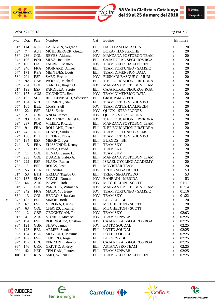

 $\bullet$ 



#### Fecha..: 21/03/18 Pag.Eta..: 2

|   | Pto.<br>---   | Dor.<br>$- - -$ | Pais<br>----                | Nombre                 | Cat                | Equipo                       |          | hh:mm:ss |
|---|---------------|-----------------|-----------------------------|------------------------|--------------------|------------------------------|----------|----------|
|   | $51^{\circ}$  | 114             | <b>NOR</b>                  | LAENGEN, Vegard S.     | <b>ELI</b>         | <b>UAE TEAM EMIRATES</b>     | a        | 20       |
|   | $52^{\circ}$  | 74              | <b>AUT</b>                  | MÜHLBERGER, Gregor     | <b>JOV</b>         | <b>BORA - HANSGROHE</b>      | $\rm{a}$ | 20       |
|   | $53^{\circ}$  | 236             | <b>COL</b>                  | REYES, Aldemar         | <b>JOV</b>         | <b>MANZANA POSTOBON TEAM</b> | $\rm{a}$ | 20       |
|   | $54^{\circ}$  | 196             | POR                         | SILVA, Joaquim         | ELI                | CAJA RURAL-SEGUROS RGA       | a        | 20       |
|   | $55^{\circ}$  | 106             | <b>ITA</b>                  | FABBRO, Matteo         | <b>JOV</b>         | <b>TEAM KATUSHA ALPECIN</b>  | a        | 20       |
|   | $56^{\circ}$  | 246             | <b>FRA</b>                  | MOINARD, Amael         | ELI                | TEAM FORTUNEO - SAMSIC       | a        | 20       |
|   | $57^{\circ}$  | 171             | <b>RSA</b>                  | MEINTJES, Louis        | <b>ELI</b>         | TEAM DIMENSION DATA          | a        | 20       |
|   | 58°           | 204             | <b>ESP</b>                  | SAEZ, Hector           | <b>JOV</b>         | EUSKADI BASQUE C.-MURI       | a        | 20       |
|   | $59^\circ$    | 92              | <b>CAN</b>                  | WOODS, Michael         | ELI                | T. EF EDUCATION FIRST-DRA    | a        | 20       |
|   | $60^{\circ}$  | 234             | <b>COL</b>                  | GARCIA, Jhojan O.      | <b>JOV</b>         | MANZANA POSTOBON TEAM        | a        | 20       |
|   | $61^{\circ}$  | 193             | <b>ESP</b>                  | PARDILLA, Sergio       | <b>ELI</b>         | CAJA RURAL-SEGUROS RGA       | $\rm{a}$ | 20       |
|   | $62^{\circ}$  | 175             | <b>AUS</b>                  | O'CONNOR, Ben          | <b>JOV</b>         | <b>TEAM DIMENSION DATA</b>   | $\rm{a}$ | 20       |
|   | $63^{\circ}$  | 162             | SUI                         | REICHENBACH, Sébastien | $\mathop{\rm ELI}$ | <b>GROUPAMA - FDJ</b>        | a        | 20       |
|   | $64^{\circ}$  | 154             | <b>NED</b>                  | <b>CLEMENT, Stef</b>   | <b>ELI</b>         | TEAM LOTTO NL - JUMBO        | $\rm{a}$ | 20       |
|   | $65^{\circ}$  | 105             | <b>BEL</b>                  | CRAS, Steff            | <b>JOV</b>         | TEAM KATUSHA ALPECIN         | a        | 20       |
|   | $66^{\circ}$  | 22              | <b>ESP</b>                  | MAS, Enric             | <b>JOV</b>         | <b>QUICK - STEP FLOORS</b>   | a        | 20       |
|   | $67^{\circ}$  | 27              | <b>GBR</b>                  | KNOX, James            | <b>JOV</b>         | <b>QUICK - STEP FLOORS</b>   | $\rm{a}$ | 20       |
|   | $68^{\circ}$  | 93              | <b>COL</b>                  | MARTINEZ, Daniel F.    | <b>JOV</b>         | T. EF EDUCATION FIRST-DRA    | a        | 20       |
|   | $69^\circ$    | 237             | POR                         | VILELA, Ricardo        | ELI                | MANZANA POSTOBON TEAM        | a        | 20       |
|   | $70^{\circ}$  | 91              | <b>FRA</b>                  | ROLLAND, Pierre        | ELI                | T. EF EDUCATION FIRST-DRA    | a        | 20       |
|   | $71^{\circ}$  | 243             | <b>NOR</b>                  | LUNKE, Sindre S.       | <b>JOV</b>         | TEAM FORTUNEO - SAMSIC       | $\rm{a}$ | 20       |
|   | $72^{\circ}$  | 156             | <b>BEL</b>                  | DE TIER, Floris        | ELI                | TEAM LOTTO NL - JUMBO        | $\rm{a}$ | 20       |
|   | $73^{\circ}$  | 184             | <b>ESP</b>                  | MERINO, Igor           | ELI                | <b>BURGOS - BH</b>           | $\rm{a}$ | 20       |
|   | $74^{\circ}$  | 15              | <b>FRA</b>                  | ELISSONDE, Kenny       | ELI                | <b>TEAM SKY</b>              | a        | 20       |
|   | $75^{\circ}$  | 17              | <b>ESP</b>                  | LOPEZ, David           | $\mathop{\rm ELI}$ | <b>TEAM SKY</b>              | $\rm{a}$ | 20       |
|   | $76^{\circ}$  | 11              | <b>COL</b>                  | HENAO, Sergio L.       | <b>ELI</b>         | <b>TEAM SKY</b>              | $\rm{a}$ | 20       |
|   | $77^{\circ}$  | 233             | <b>COL</b>                  | DUARTE, Fabio A.       | ELI                | MANZANA POSTOBON TEAM        | $\rm{a}$ | 20       |
|   | $78^{\circ}$  | 222             | <b>ESP</b>                  | PLAZA, Ruben           | <b>ELI</b>         | ISRAEL CYCLING ACADEMY       | $\rm{a}$ | 20       |
|   | $79^{\circ}$  | 3               | <b>ESP</b>                  | ROJAS, José            | ELI                | MOVISTAR TEAM                | $\rm{a}$ | 20       |
|   | $80^{\circ}$  | 55              | <b>DEN</b>                  | EG, Niklas             | <b>JOV</b>         | TREK - SEGAFREDO             | $\rm{a}$ | 53       |
|   | 81°           | 53              | <b>ETH</b>                  | GRMAY, Tsgabu G.       | ELI                | TREK - SEGAFREDO             | $\rm{a}$ | 53       |
|   | $82^{\circ}$  | 137             | <b>SLO</b>                  | NOVAK, Domen           | <b>JOV</b>         | <b>BAHRAIN - MERIDA</b>      | $\rm{a}$ | 53       |
|   | 83°           | 64              | <b>AUS</b>                  | POWER, Rob             | <b>JOV</b>         | <b>MITCHELTON - SCOTT</b>    | a        | 01:11    |
|   | $84^\circ$    | 235             | <b>COL</b>                  | PAREDES, Wilmar A.     | <b>JOV</b>         | MANZANA POSTOBON TEAM        | $\rm{a}$ | 01:14    |
|   | $85^{\circ}$  | 242             | <b>FRA</b>                  | MAISON, Jérémy         | <b>JOV</b>         | TEAM FORTUNEO - SAMSIC       | a        | 01:16    |
|   | $86^{\circ}$  | 13              | <b>COL</b>                  | HENAO, Sebastian       | <b>JOV</b>         | <b>TEAM SKY</b>              | a        | 01:22    |
| c | $87^{\circ}$  | 187             | <b>ESP</b>                  | SIMON, Jordi           | <b>ELI</b>         | <b>BURGOS - BH</b>           | a        | 20       |
|   | $88^{\rm o}$  | 67              | <b>ESP</b>                  | <b>VERONA</b> , Carlos | ELI                | MITCHELTON - SCOTT           | a        | 20       |
|   | 89°           | 63              | <b>COL</b>                  | CHAVES, Jhoan E.       | <b>ELI</b>         | <b>MITCHELTON - SCOTT</b>    | a        | 20       |
|   | $90^{\circ}$  | 12              | <b>GBR</b>                  | GEOGHEGAN, Tao         | <b>JOV</b>         | <b>TEAM SKY</b>              | a        | 02:03    |
|   | 91°           | 47              | <b>AUS</b>                  | STORER, Michael        | <b>JOV</b>         | <b>TEAM SUNWEB</b>           | a        | 02:25    |
|   | $92^{\circ}$  | 194             | <b>ESP</b>                  | RODRIGUEZ, Cristian    | <b>JOV</b>         | CAJA RURAL-SEGUROS RGA       | a        | 02:25    |
|   | $93^{\circ}$  | 121             | <b>GBR</b>                  | SHAW, James            | <b>JOV</b>         | <b>LOTTO SOUDAL</b>          | a        | 02:25    |
|   | $94^{\circ}$  | 123             | <b>BEL</b>                  | ARMEE, Sander          | ELI                | <b>LOTTO SOUDAL</b>          | $\rm{a}$ | 02:25    |
|   | $95^\circ$    | 124             | <b>BEL</b>                  | MONFORT, Maxime        | ELI                | <b>LOTTO SOUDAL</b>          | $\rm{a}$ | 02:25    |
|   | $96^{\circ}$  | 182             | <b>ESP</b>                  | CUBERO, Jorge          | ELI                | <b>BURGOS - BH</b>           | a        | 02:25    |
|   | $97^\circ$    | 197             | <b>URU</b>                  | FERRARI, Fabricio      | ELI                | CAJA RURAL-SEGUROS RGA       | $\rm{a}$ | 02:25    |
|   | $98^{\circ}$  | 146             | <b>UKR</b>                  | GRIVKO, Andrey         | ELI                | <b>ASTANA PRO TEAM</b>       | a        | 02:25    |
|   | 99°           | 42              | $\ensuremath{\mathsf{NED}}$ | TEN DAM, Laurens       | ELI                | <b>TEAM SUNWEB</b>           | $\rm{a}$ | 02:25    |
|   | $100^{\circ}$ | 107             | <b>RSA</b>                  | SMIT, Willem J.        | ELI                | TEAM KATUSHA ALPECIN         | a        | 02:25    |
|   |               |                 |                             |                        |                    |                              |          |          |

 $\mathcal{L}=\{1,2,3,4\}$  , we can consider the constant of  $\mathcal{L}=\{1,2,3,4\}$ 









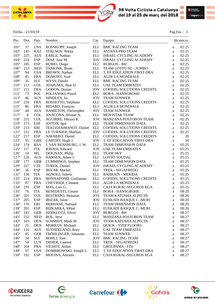



#### Fecha..: 21/03/18 Pag.Eta..: 3

| Pto.<br>---   | Dor.<br>$--$   | Pais<br>$- - - -$ | Nombre                      | Cat<br>$- - -$     | Equipo<br>-------------------- |          | hh:mm:ss |
|---------------|----------------|-------------------|-----------------------------|--------------------|--------------------------------|----------|----------|
| $101^{\circ}$ | 37             | <b>USA</b>        | ROSSKOPF, Joseph            | ELI                | <b>BMC RACING TEAM</b>         | a        | 02:25    |
| $102^{\circ}$ | 145            | <b>KAZ</b>        | STALNOV, Nikita             | <b>ELI</b>         | <b>ASTANA PRO TEAM</b>         | a        | 02:25    |
| $103^{\circ}$ | 225            | <b>AUS</b>        | EARLE, Nathan               | ELI                | ISRAEL CYCLING ACADEMY         | a        | 02:25    |
| $104^{\circ}$ | 224            | <b>ESP</b>        | DIAZ, Jose M.               | <b>JOV</b>         | <b>ISRAEL CYCLING ACADEMY</b>  | a        | 02:25    |
| $105^{\circ}$ | 185            | <b>ESP</b>        | RUBIO, Diego                | <b>ELI</b>         | <b>BURGOS - BH</b>             | a        | 02:25    |
| $106^{\circ}$ | 153            | <b>NED</b>        | TANKINK, Bram               | <b>ELI</b>         | TEAM LOTTO NL - JUMBO          | a        | 02:25    |
| $107^{\circ}$ | 94             | <b>USA</b>        | <b>BROWN</b> , Nathan       | <b>ELI</b>         | T. EF EDUCATION FIRST-DRA      | a        | 02:25    |
| $108^{\circ}$ | 85             | <b>FRA</b>        | DOMONT, Axel                | <b>ELI</b>         | <b>AG2R LA MONDIALE</b>        | a        | 02:25    |
| $109^\circ$   | 35             | SUI               | WYSS, Danilo                | <b>ELI</b>         | <b>BMC RACING TEAM</b>         | a        | 02:25    |
| $110^{\circ}$ | 113            | <b>COL</b>        | ATAPUMA, Jhon D.            | ELI                | <b>UAE TEAM EMIRATES</b>       | a        | 02:25    |
| $111^{\circ}$ | 211            | <b>FRA</b>        | GODON, Dorian               | <b>JOV</b>         | COFIDIS, SOLUTIONS CREDITS     | a        | 02:25    |
| $112^{\circ}$ | 73             | POL               | POLJANSKI, Pawel            | ELI                | <b>BORA - HANSGROHE</b>        | a        | 02:25    |
| $113^{\circ}$ | 46             | <b>AUS</b>        | HINDLEY, Jai                | <b>JOV</b>         | <b>TEAM SUNWEB</b>             | a        | 02:25    |
| $114^{\circ}$ | 216            | <b>FRA</b>        | ROSSETTO, Stéphane          | <b>ELI</b>         | COFIDIS, SOLUTIONS CREDITS     | a        | 02:25    |
| $115^{\circ}$ | 86             | <b>FRA</b>        | BIDARD, François            | <b>ELI</b>         | <b>AG2R LA MONDIALE</b>        | a        | 02:25    |
| $116^{\circ}$ | 44             | <b>AUS</b>        | HAMILTON, Christopher       | <b>JOV</b>         | <b>TEAM SUNWEB</b>             | a        | 02:25    |
| $117^{\circ}$ | $\overline{4}$ | <b>COL</b>        | ANACONA, Winner A.          | <b>ELI</b>         | MOVISTAR TEAM                  | a        | 02:25    |
| $118^{\circ}$ | 231            | COL               | AGUIRRE, Hernan R.          | <b>JOV</b>         | MANZANA POSTOBON TEAM          | a        | 02:25    |
| 119°          | 173            | <b>ESP</b>        | ANTON, Igor                 | $\mathop{\rm ELI}$ | <b>TEAM DIMENSION DATA</b>     | a        | 02:25    |
| $120^{\circ}$ | 213            | ERI               | TEKLEHAIMANOT, Daniel       | <b>ELI</b>         | COFIDIS, SOLUTIONS CREDITS     | a        | 02:25    |
| $121^{\circ}$ | 212            | <b>FRA</b>        | LE TURNIER, Mathias         | <b>JOV</b>         | COFIDIS, SOLUTIONS CREDITS     | $\rm{a}$ | 02:25    |
| $122^{\rm o}$ | 217            | <b>ESP</b>        | NAVARRO, Daniel             | <b>ELI</b>         | COFIDIS, SOLUTIONS CREDITS     | $\rm{a}$ | 20       |
| $123^{\circ}$ | 95             | <b>GBR</b>        | CARTHY, Hugh J.             | <b>JOV</b>         | T. EF EDUCATION FIRST-DRA      | a        | 20       |
| $124^{\circ}$ | 174            | <b>RSA</b>        | J. VAN RENSBURG, J. W.      | <b>ELI</b>         | TEAM DIMENSION DATA            | a        | 05:25    |
| $125^{\circ}$ | 117            | <b>ITA</b>        | RAVASI, Edward              | <b>JOV</b>         | <b>UAE TEAM EMIRATES</b>       | a        | 05:25    |
| $126^{\circ}$ | 14             | IRL               | DEIGNAN, Philip             | <b>ELI</b>         | <b>TEAM SKY</b>                | a        | 05:25    |
| $127^{\circ}$ | 126            | <b>AUS</b>        | HANSEN, Adam J.             | ELI                | <b>LOTTO SOUDAL</b>            | $\rm{a}$ | 05:25    |
| $128^{\circ}$ | 177            | <b>GBR</b>        | CUMMINGS, Stephen           | ELI                | <b>TEAM DIMENSION DATA</b>     | $\rm{a}$ | 05:25    |
| 129°          | 227            | <b>CZE</b>        | TUREK, Daniel               | <b>JOV</b>         | <b>ISRAEL CYCLING ACADEMY</b>  | a        | 05:25    |
| $130^{\circ}$ | 56             | <b>ESP</b>        | <b>IRIZAR, Markel</b>       | <b>ELI</b>         | TREK - SEGAFREDO               | a        | 05:25    |
| $131^{\circ}$ | 136            | <b>ITA</b>        | AGNOLI, Valerio             | <b>ELI</b>         | <b>BAHRAIN - MERIDA</b>        | a        | 05:25    |
| 132°          | 214            | <b>FRA</b>        | <b>BONNAFOND, Guillaume</b> | ELI                | COFIDIS, SOLUTIONS CREDITS     | a        | 05:25    |
| 133°          | 87             | <b>FRA</b>        | CHEVRIER, Clement           | <b>ELI</b>         | <b>AG2R LA MONDIALE</b>        | a        | 05:25    |
| $134^{\circ}$ | 191            | <b>ESP</b>        | MAS, Luis G.                | <b>ELI</b>         | CAJA RURAL-SEGUROS RGA         | a        | 05:25    |
| $135^{\circ}$ | 76             | <b>ITA</b>        | <b>BENEDETTI, Cesare</b>    | ELI                | <b>BORA - HANSGROHE</b>        | a        | 08:20    |
| $136^{\circ}$ | 101            | <b>COL</b>        | RESTREPO, Jhonatan          | <b>JOV</b>         | <b>TEAM KATUSHA ALPECIN</b>    | a        | 08:20    |
| $137^{\circ}$ | 205            | <b>ESP</b>        | IRIZAR, Julen               | <b>JOV</b>         | EUSKADI BASQUE C.-MURI         | a        | 08:20    |
| 138°          | 176            | ERI               | <b>BERHANE, Natnael</b>     | ELI                | TEAM DIMENSION DATA            | a        | 08:20    |
| 139°          | 201            | <b>ESP</b>        | <b>BIZKARRA, Mikel</b>      | <b>ELI</b>         | EUSKADI BASQUE C.-MURI         | a        | 08:20    |
| $140^\circ$   | 181            | <b>GER</b>        | HERKLOTZ, Silvio            | <b>JOV</b>         | <b>BURGOS - BH</b>             | a        | 08:27    |
| $141^{\circ}$ | 232            | <b>NED</b>        | BOL, Jetse                  | ELI                | MANZANA POSTOBON TEAM          | a        | 08:27    |
| $142^{\circ}$ | 103            | <b>DEN</b>        | SCHMIDT, Mads W.            | <b>JOV</b>         | <b>TEAM KATUSHA ALPECIN</b>    | a        | 08:27    |
| $143^{\circ}$ | 25             | <b>DEN</b>        | MORKOV, Michael             | ELI                | <b>QUICK - STEP FLOORS</b>     | a        | 08:27    |
| $144^{\circ}$ | 116            | <b>AUS</b>        | SUTHERLAND, Rory            | $\mathop{\rm ELI}$ | <b>UAE TEAM EMIRATES</b>       | a        | 08:27    |
| $145^{\circ}$ | 45             | <b>GER</b>        | FRÖHLINGER, Johannes        | ELI                | <b>TEAM SUNWEB</b>             | a        | 08:27    |
| $146^{\circ}$ | 34             | SUI               | <b>BOHLI, Tom</b>           | <b>JOV</b>         | <b>BMC RACING TEAM</b>         | $\rm{a}$ | 08:27    |
| $147^{\circ}$ | 54             | <b>LUX</b>        | DIDIER, Laurent             | ELI                | <b>TREK - SEGAFREDO</b>        | $\rm{a}$ | 08:27    |
| 148°          | 164            | <b>FRA</b>        | VICHOT, Arthur              | ELI                | <b>GROUPAMA - FDJ</b>          | $\rm{a}$ | 08:27    |
| 149°          | 97             | <b>USA</b>        | DOMBROWSKI, Joseph L.       | ELI                | T. EF EDUCATION FIRST-DRA      | $\rm{a}$ | 08:27    |
| $150^\circ$   | 192            | <b>ESP</b>        | MOLINA, Antonio             | ELI                | CAJA RURAL-SEGUROS RGA         | a        | 08:27    |

 $\mathcal{L}=\{1,2,3,4\}$  , we can consider the constant of  $\mathcal{L}=\{1,2,3,4\}$ 









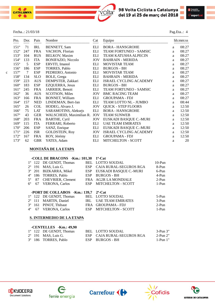

|   | Pto.          | Dor.   | Pais       | Nombre                       | Cat        | Equipo                      |   | hh:mm:ss |
|---|---------------|--------|------------|------------------------------|------------|-----------------------------|---|----------|
|   | $151^{\circ}$ | 71     | <b>IRL</b> | <b>BENNETT, Sam</b>          | <b>ELI</b> | <b>BORA - HANSGROHE</b>     | a | 08:27    |
|   | $152^{\circ}$ | 247    | <b>FRA</b> | VACHON, Florian              | ELI        | TEAM FORTUNEO - SAMSIC      | a | 08:27    |
|   | $153^{\circ}$ | 104    | <b>RUS</b> | <b>BELKOV, Maxim</b>         | ELI        | <b>TEAM KATUSHA ALPECIN</b> | a | 08:27    |
|   | $154^\circ$   | 133    | <b>ITA</b> | <b>BONIFAZIO, Niccolo</b>    | <b>JOV</b> | <b>BAHRAIN - MERIDA</b>     | a | 08:27    |
|   | $155^\circ$   | 5      | <b>ESP</b> | ERVITI, Imanol               | ELI        | MOVISTAR TEAM               | a | 08:27    |
|   | $156^\circ$   | 186    | <b>ESP</b> | TORRES, Pablo                | ELI        | <b>BURGOS - BH</b>          | a | 08:27    |
| Ċ | $157^\circ$   | $\tau$ | <b>ESP</b> | PEDRERO, Antonio             | ELI        | MOVISTAR TEAM               | a | 08:27    |
|   | 158°          | 134    | <b>SLO</b> | BOLE, Grega                  | ELI        | <b>BAHRAIN - MERIDA</b>     | a | 08:27    |
|   | $159^\circ$   | 223    | <b>AUS</b> | DEMPSTER, Zakkari            | ELI        | ISRAEL CYCLING ACADEMY      | a | 08:27    |
|   | $160^\circ$   | 183    | <b>ESP</b> | <b>EZQUERRA, Jesus</b>       | ELI        | <b>BURGOS - BH</b>          | a | 08:27    |
|   | $161^{\circ}$ | 245    | <b>FRA</b> | JARRIER, Benoit              | ELI        | TEAM FORTUNEO - SAMSIC      | a | 08:27    |
|   | $162^{\circ}$ | 36     | <b>AUS</b> | <b>SCOTSON, Miles</b>        | <b>JOV</b> | <b>BMC RACING TEAM</b>      | a | 08:27    |
|   | $163^\circ$   | 166    | <b>FRA</b> | <b>BONNET, William</b>       | ELI        | <b>GROUPAMA - FDJ</b>       | a | 08:27    |
|   | $164^\circ$   | 157    | <b>NED</b> | LINDEMAN, Bert-Jan           | ELI        | TEAM LOTTO NL - JUMBO       | a | 08:44    |
|   | $165^\circ$   | 26     | <b>COL</b> | HODEG, Alvaro J.             | <b>JOV</b> | <b>OUICK - STEP FLOORS</b>  | a | 12:50    |
|   | $166^\circ$   | 75     | <b>LAT</b> | SARAMOTINS, Aleksejs         | ELI        | <b>BORA - HANSGROHE</b>     | a | 12:50    |
|   | $167^\circ$   | 43     | <b>GER</b> | WALSCHEID, Maximilian R. JOV |            | <b>TEAM SUNWEB</b>          | a | 12:50    |
|   | 168°          | 203    | <b>FRA</b> | <b>BARTHE, Cyril</b>         | <b>JOV</b> | EUSKADI BASQUE C.-MURI      | a | 12:50    |
|   | $169^\circ$   | 115    | <b>ITA</b> | FERRARI, Roberto             | ELI        | <b>UAE TEAM EMIRATES</b>    | a | 12:50    |
|   | $170^{\circ}$ | 206    | <b>ESP</b> | SANZ, Enrique                | ELI        | EUSKADI BASQUE C.-MURI      | a | 12:50    |
|   | $171^{\circ}$ | 226    | <b>ISR</b> | <b>GOLDSTEIN, Roy</b>        | <b>JOV</b> | ISRAEL CYCLING ACADEMY      | a | 12:50    |
|   | $172^{\circ}$ | 167    | <b>FRA</b> | ROY, Jérémy                  | ELI        | <b>GROUPAMA - FDJ</b>       | a | 12:50    |
|   | $173^{\circ}$ | 62     | <b>GBR</b> | YATES, Adam                  | <b>ELI</b> | <b>MITCHELTON - SCOTT</b>   | a | 20       |

#### **MONTAÑA DE LA ETAPA**

|             |                 | -COLL DE BRACONS -Km.: 101,30 |            | $1^a$ -Cat                |          |
|-------------|-----------------|-------------------------------|------------|---------------------------|----------|
|             |                 | 1° 122 DE GENDT, Thomas       |            | <b>BEL LOTTO SOUDAL</b>   | $10-Pun$ |
|             |                 | 2° 191 MAS, Luis G.           | <b>ESP</b> | CAJA RURAL-SEGUROS RGA    | 8-Pun    |
|             |                 | 3° 201 BIZKARRA, Mikel        | <b>ESP</b> | EUSKADI BASQUE C.-MURI    | 6-Pun    |
| $4^{\circ}$ |                 | 186 TORRES, Pablo             | <b>ESP</b> | <b>BURGOS - BH</b>        | 4-Pun    |
| $5^\circ$   | 87              | <b>CHEVRIER, Clement</b>      |            | FRA AG2R LA MONDIALE      | $2-Pun$  |
| $6^{\circ}$ | 67              | <b>VERONA, Carlos</b>         | ESP        | <b>MITCHELTON - SCOTT</b> | $1-Pun$  |
|             |                 | -PORT DE COLLABOS -Km.: 139,7 |            | $2^{\circ}$ -Cat          |          |
|             |                 | 1° 122 DE GENDT, Thomas       |            | <b>BEL LOTTO SOUDAL</b>   | $5-Pun$  |
|             | $2^{\circ}$ 111 | <b>MARTIN, Daniel</b>         | IRL        | <b>UAE TEAM EMIRATES</b>  | $3-Pun$  |
|             |                 | 3° 161 PINOT, Thibaut         |            | FRA GROUPAMA - FDJ        | $2-Pun$  |
| $4^{\circ}$ | 67              | <b>VERONA, Carlos</b>         |            | ESP MITCHELTON - SCOTT    | 1-Pun    |

#### **S. INTERMEDIO DE LA ETAPA**

|  | -CENTELLES -Km.: 49,90       |                            |            |
|--|------------------------------|----------------------------|------------|
|  | 1° 122 DE GENDT. Thomas      | BEL LOTTO SOUDAL           | 3-Pun 3"   |
|  | $2^{\circ}$ 191 MAS, Luis G. | ESP CAJA RURAL-SEGUROS RGA | $2-Pun 2"$ |
|  | 3° 186 TORRES, Pablo         | ESP BURGOS - BH            | 1-Pun 1"   |









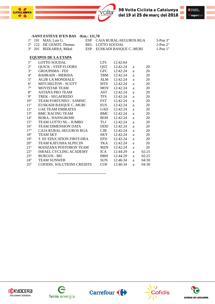



#### **-SANT ESTEVE D'EN BAS -Km.: 111,70**

|  | $1^{\circ}$ 191 MAS, Luis G.     | ESP CAJA RURAL-SEGUROS RGA | $3-Pun 3"$ |
|--|----------------------------------|----------------------------|------------|
|  |                                  |                            |            |
|  | $2^{\circ}$ 122 DE GENDT, Thomas | BEL LOTTO SOUDAL           | 2-Pun 2"   |
|  | 3° 201 BIZKARRA, Mikel           | ESP EUSKADI BASQUE C.-MURI | $1-Pun 1"$ |
|  |                                  |                            |            |

#### **EQUIPOS DE LA ETAPA**

40

**CATALUNYA** 

| $1^{\circ}$     | <b>LOTTO SOUDAL</b>           | <b>LTS</b> | 12:42:04 |   |       |
|-----------------|-------------------------------|------------|----------|---|-------|
| $2^{\circ}$     | <b>QUICK - STEP FLOORS</b>    | <b>OST</b> | 12:42:24 | a | 20    |
| $3^{\circ}$     | <b>GROUPAMA - FDJ</b>         | <b>GFC</b> | 12:42:24 | a | 20    |
| $4^{\circ}$     | <b>BAHRAIN - MERIDA</b>       | TBM        | 12:42:24 | a | 20    |
| $5^{\circ}$     | <b>AG2R LA MONDIALE</b>       | ALM        | 12:42:24 | a | 20    |
| $6^{\circ}$     | <b>MITCHELTON - SCOTT</b>     | MTS.       | 12:42:24 | a | 20    |
| $7^{\circ}$     | <b>MOVISTAR TEAM</b>          | <b>MOV</b> | 12:42:24 | a | 20    |
| $8^{\circ}$     | <b>ASTANA PRO TEAM</b>        | <b>AST</b> | 12:42:24 | a | 20    |
| $9^{\circ}$     | <b>TREK - SEGAFREDO</b>       | <b>TFS</b> | 12:42:24 | a | 20    |
| 10 <sup>o</sup> | <b>TEAM FORTUNEO - SAMSIC</b> | <b>FST</b> | 12:42:24 | a | 20    |
| $11^{\circ}$    | EUSKADI BASQUE C.-MURI        | <b>EUS</b> | 12:42:24 | a | 20    |
| $12^{\circ}$    | <b>UAE TEAM EMIRATES</b>      | UAD        | 12:42:24 | a | 20    |
| $13^{\circ}$    | <b>BMC RACING TEAM</b>        | <b>BMC</b> | 12:42:24 | a | 20    |
| $14^{\circ}$    | <b>BORA - HANSGROHE</b>       | <b>BOH</b> | 12:42:24 | a | 20    |
| $15^{\circ}$    | TEAM LOTTO NL - JUMBO         | <b>TLJ</b> | 12:42:24 | a | 20    |
| $16^{\circ}$    | <b>TEAM DIMENSION DATA</b>    | DDD.       | 12:42:24 | a | 20    |
| $17^{\circ}$    | <b>CAJA RURAL-SEGUROS RGA</b> | <b>CJR</b> | 12:42:24 | a | 20    |
| $18^{\circ}$    | <b>TEAM SKY</b>               | <b>SKY</b> | 12:42:24 | a | 20    |
| $19^{\circ}$    | T. EF EDUCATION FIRST-DRA     | <b>EFD</b> | 12:42:24 | a | 20    |
| $20^{\circ}$    | <b>TEAM KATUSHA ALPECIN</b>   | TKA        | 12:42:24 | a | 20    |
| $21^{\circ}$    | <b>MANZANA POSTOBON TEAM</b>  | <b>MZN</b> | 12:42:24 | a | 20    |
| $22^{\circ}$    | <b>ISRAEL CYCLING ACADEMY</b> | <b>ICA</b> | 12:44:29 | a | 02:25 |
| $23^{\circ}$    | <b>BURGOS - BH</b>            | <b>BBH</b> | 12:44:29 | a | 02:25 |
| $24^{\circ}$    | <b>TEAM SUNWEB</b>            | <b>SUN</b> | 12:46:34 | a | 04:30 |
| $25^{\circ}$    | COFIDIS, SOLUTIONS CREDITS    | <b>COF</b> | 12:46:34 | a | 04:30 |

----------------------------------------









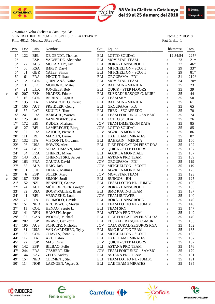



Organiza.: Volta Ciclista a Catalunya AE GENERAL INDIVIDUAL DESPUES DE LA ETAPA 3<sup>ª</sup> Fecha..: 21/03/18 Km.: 481,1 Media..: 38,238-K/h Pag.Gral..: 1

|             | Pto.<br>$- -$   | Dor.<br>$---$  | Pais<br>$- - - -$                  | Nombre                   | Cat        | Equipo                     |              | hh:mm:ss | Ptos  |
|-------------|-----------------|----------------|------------------------------------|--------------------------|------------|----------------------------|--------------|----------|-------|
|             | $1^{\circ}$     | 122            | <b>BEL</b>                         | DE GENDT, Thomas         | <b>ELI</b> | <b>LOTTO SOUDAL</b>        |              | 12:34:54 | 225*  |
|             | $2^{\rm o}$     | $\mathbf{1}$   | <b>ESP</b>                         | VALVERDE, Alejandro      | <b>ELI</b> | <b>MOVISTAR TEAM</b>       | $\rm{a}$     | 23       | $21*$ |
|             | $3^{\circ}$     | 77             | <b>AUS</b>                         | MCCARTHY, Jay            | ELI        | <b>BORA - HANSGROHE</b>    | a            | 27       | 46*   |
|             | $4^{\circ}$     | 66             | <b>RSA</b>                         | <b>IMPEY, Daryl</b>      | <b>ELI</b> | <b>MITCHELTON - SCOTT</b>  | a            | 29       | 33*   |
|             | $5^{\circ}$     | 61             | <b>GBR</b>                         | YATES, Simon             | <b>ELI</b> | MITCHELTON - SCOTT         | a            | 29       | $81*$ |
|             | $6^{\circ}$     | 161            | <b>FRA</b>                         | PINOT, Thibaut           | <b>ELI</b> | <b>GROUPAMA - FDJ</b>      | a            | 31       | 219*  |
|             | $7^{\circ}$     | $\overline{c}$ | <b>COL</b>                         | QUINTANA, Nairo          | <b>ELI</b> | <b>MOVISTAR TEAM</b>       | a            | 34       | $70*$ |
|             | $8^{\rm o}$     | 131            | <b>SLO</b>                         | MOHORIC, Matej           | <b>JOV</b> | <b>BAHRAIN - MERIDA</b>    | a            | 35       | 23    |
|             | $9^{\circ}$     | 21             | <b>LUX</b>                         | <b>JUNGELS, Bob</b>      | ELI        | <b>QUICK - STEP FLOORS</b> | a            | 35       | 39    |
| c           | $10^{\circ}$    | 207            | <b>ESP</b>                         | PRADES, Eduard           | <b>ELI</b> | EUSKADI BASQUE C.-MURI     | a            | 35       | 44    |
|             | $11^{\circ}$    | 16             | <b>COL</b>                         | BERNAL, Egan A.          | <b>JOV</b> | <b>TEAM SKY</b>            | a            | 35       | 50    |
|             | $12^{\circ}$    | 135            | <b>ITA</b>                         | GASPAROTTO, Enrico       | ELI        | <b>BAHRAIN - MERIDA</b>    | a            | 35       | 61    |
|             | $13^{\circ}$    | 165            | <b>AUT</b>                         | PREIDLER, Georg          | <b>ELI</b> | <b>GROUPAMA - FDJ</b>      | a            | 35       | 65    |
|             | $14^{\circ}$    | 57             | <b>LAT</b>                         | <b>SKUJINS, Toms</b>     | ELI        | TREK - SEGAFREDO           | a            | 35       | 70    |
|             | $15^{\circ}$    | 241            | <b>FRA</b>                         | <b>BARGUIL, Warren</b>   | ELI        | TEAM FORTUNEO - SAMSIC     | a            | 35       | 74    |
|             | $16^{\circ}$    | 125            | <b>BEL</b>                         | VANENDERT, Jelle         | <b>ELI</b> | LOTTO SOUDAL               | a            | 35       | 76    |
|             | $17^{\circ}$    | 172            | ERI                                | KUDUS, Merhawi           | <b>JOV</b> | TEAM DIMENSION DATA        | $\mathbf{a}$ | 35       | 85    |
|             | $18^{\rm o}$    | 127            | <b>BEL</b>                         | LAMBRECHT, Bjorg         | <b>JOV</b> | LOTTO SOUDAL               | a            | 35       | 85    |
|             | 19 <sup>°</sup> | 82             | <b>FRA</b>                         | LATOUR, Pierre R.        | <b>JOV</b> | <b>AG2R LA MONDIALE</b>    | a            | 35       | 86    |
|             | $20^{\circ}$    | 111            | $\ensuremath{\mathsf{IRL}}\xspace$ | <b>MARTIN, Daniel</b>    | <b>ELI</b> | <b>UAE TEAM EMIRATES</b>   | a            | 35       | 87    |
|             | $21^{\circ}$    | 132            | <b>ITA</b>                         | VISCONTI, Giovanni       | ELI        | <b>BAHRAIN - MERIDA</b>    | a            | 35       | 100   |
|             | $22^{\circ}$    | 96             | <b>USA</b>                         | HOWES, Alex              | ELI        | T. EF EDUCATION FIRST-DRA  | a            | 35       | 102   |
|             | $23^{\rm o}$    | 24             | <b>GER</b>                         | SCHACHMANN, Maxi.        | <b>JOV</b> | <b>QUICK - STEP FLOORS</b> | a            | 35       | 107   |
|             | $24^{\circ}$    | 84             | <b>FRA</b>                         | CHEREL, Mikael           | ELI        | <b>AG2R LA MONDIALE</b>    | a            | 35       | 107   |
|             | $25^{\circ}$    | 143            | <b>RUS</b>                         | CHERNETSKI, Sergei       | ELI        | <b>ASTANA PRO TEAM</b>     | a            | 35       | 109   |
|             | $26^{\circ}$    | 163            | <b>FRA</b>                         | GAUDU, David             | <b>JOV</b> | <b>GROUPAMA - FDJ</b>      | a            | 35       | 119   |
|             | $27^{\circ}$    | 65             | <b>AUS</b>                         | HAIG, Jack               | <b>JOV</b> | <b>MITCHELTON - SCOTT</b>  | a            | 35       | 119   |
|             | $28^{\circ}$    | 81             | $\rm SUI$                          | FRANK, Mathias           | ELI        | <b>AG2R LA MONDIALE</b>    | a            | 35       | 123   |
| c           | $29^\circ$      | 6              | <b>ESP</b>                         | SOLER, Marc              | <b>JOV</b> | MOVISTAR TEAM              | a            | 35       | 123   |
| $\mathbf c$ | $30^{\circ}$    | 187            | <b>ESP</b>                         | SIMON, Jordi             | ELI        | <b>BURGOS - BH</b>         | $\rm{a}$     | 35       | 125   |
|             | $31^{\circ}$    | 152            | <b>NZL</b>                         | <b>BENNETT, George</b>   | ELI        | TEAM LOTTO NL - JUMBO      | $\rm{a}$     | 35       | 130   |
|             | $32^{\circ}$    | 74             | <b>AUT</b>                         | MÜHLBERGER, Gregor       | <b>JOV</b> | <b>BORA - HANSGROHE</b>    | a            | 35       | 133   |
|             | $33^{\circ}$    | 32             | <b>USA</b>                         | <b>BOOKWALTER, Brent</b> | ELI        | <b>BMC RACING TEAM</b>     | a            | 35       | 137   |
|             | $34^{\circ}$    | 41             | <b>BEL</b>                         | <b>VERVAEKE, Louis</b>   | <b>JOV</b> | <b>TEAM SUNWEB</b>         | a            | 35       | 140   |
|             | $35^{\circ}$    | 72             | <b>ITA</b>                         | FORMOLO, Davide          | ELI        | <b>BORA - HANSGROHE</b>    | a            | 35       | 140   |
|             | $36^{\circ}$    | 151            | <b>NED</b>                         | KRUIJSWIJK, Steven       | <b>ELI</b> | TEAM LOTTO NL - JUMBO      | a            | 35       | 146   |
|             | $37^{\circ}$    | 11             | $\ensuremath{\text{COL}}$          | HENAO, Sergio L.         | ELI        | <b>TEAM SKY</b>            |              | 35       | 147   |
|             | $38^{\circ}$    | 141            | <b>DEN</b>                         | HANSEN, Jesper           | ELI        | ASTANA PRO TEAM            | a            | 35       | 149   |
|             | $39^\circ$      | 92             | CAN                                | WOODS, Michael           | ELI        | T. EF EDUCATION FIRST-DRA  | a            | 35       | 149   |
|             | $40^{\circ}$    | 202            |                                    |                          |            |                            | a            | 35       | 155   |
|             | $41^{\circ}$    |                | <b>ESP</b>                         | BRAVO, Garikoitz         | ELI        | EUSKADI BASQUE C.-MURI     | $\rm{a}$     |          |       |
|             |                 | 195            | <b>AUS</b>                         | SCHULTZ, Nicholas        | JOV        | CAJA RURAL-SEGUROS RGA     | a            | 35       | 162   |
|             | $42^{\circ}$    | 31             | <b>USA</b>                         | VAN GARDEREN, Tejay      | ELI        | <b>BMC RACING TEAM</b>     | a            | 35       | 163   |
|             | $43^{\circ}$    | 63             | <b>COL</b>                         | CHAVES, Jhoan E.         | <b>ELI</b> | <b>MITCHELTON - SCOTT</b>  | a            | 35       | 165   |
|             | $44^{\circ}$    | 112            | <b>ITA</b>                         | ARU, Fabio               | ELI        | <b>UAE TEAM EMIRATES</b>   | a            | 35       | 167   |
|             | $45^{\circ}$    | 22             | <b>ESP</b>                         | MAS, Enric               | <b>JOV</b> | <b>QUICK - STEP FLOORS</b> | a            | 35       | 167   |
|             | $46^{\circ}$    | 142            | <b>ESP</b>                         | BILBAO, Pello            | ELI        | <b>ASTANA PRO TEAM</b>     | a            | 35       | 176   |
|             | $47^{\circ}$    | 244            | <b>FRA</b>                         | <b>GESBERT, Elie</b>     | <b>JOV</b> | TEAM FORTUNEO - SAMSIC     | a            | 35       | 179   |
|             | $48^{\circ}$    | 144            | <b>KAZ</b>                         | ZEITS, Andrey            | ELI        | <b>ASTANA PRO TEAM</b>     | a            | 35       | 191   |
|             | $49^\circ$      | 154            | <b>NED</b>                         | CLEMENT, Stef            | ELI        | TEAM LOTTO NL - JUMBO      | $\rm{a}$     | 35       | 191   |
|             | $50^{\circ}$    | 114            | <b>NOR</b>                         | LAENGEN, Vegard S.       | ELI        | <b>UAE TEAM EMIRATES</b>   | a            | 35       | 195   |









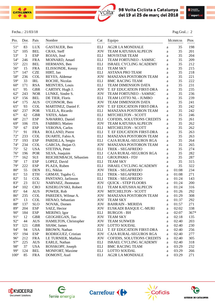



#### Fecha..: 21/03/18 Pag.Gral..: 2

| Pto.          | Dor.<br>$---$ | Pais<br>$- - - -$ | Nombre                 | Cat                | Equipo                            |   | hh:mm:ss | Ptos<br>---- |
|---------------|---------------|-------------------|------------------------|--------------------|-----------------------------------|---|----------|--------------|
| $51^{\circ}$  | 83            | <b>LUX</b>        | GASTAUER, Ben          | ELI                | <b>AG2R LA MONDIALE</b>           | a | 35       | 198          |
| $52^{\circ}$  | 105           | <b>BEL</b>        | CRAS, Steff            | <b>JOV</b>         | TEAM KATUSHA ALPECIN              | a | 35       | 201          |
| $53^{\circ}$  | 3             | <b>ESP</b>        | ROJAS, José            | <b>ELI</b>         | MOVISTAR TEAM                     | a | 35       | 204          |
| 54°           | 246           | <b>FRA</b>        | MOINARD, Amael         | <b>ELI</b>         | TEAM FORTUNEO - SAMSIC            | a | 35       | 209          |
| $55^{\circ}$  | 221           | <b>BEL</b>        | HERMANS, Ben           | <b>ELI</b>         | ISRAEL CYCLING ACADEMY            | a | 35       | 212          |
| $56^{\circ}$  | 15            | <b>FRA</b>        | ELISSONDE, Kenny       | <b>ELI</b>         | <b>TEAM SKY</b>                   | a | 35       | 215          |
| $57^{\circ}$  | 147           | <b>CZE</b>        | HIRT, Jan              | <b>ELI</b>         | <b>ASTANA PRO TEAM</b>            | a | 35       | 218          |
| 58°           | 236           | <b>COL</b>        | REYES, Aldemar         | <b>JOV</b>         | MANZANA POSTOBON TEAM             | a | 35       | 221          |
| $59^\circ$    | 33            | <b>IRL</b>        | ROCHE, Nicolas         | <b>ELI</b>         | <b>BMC RACING TEAM</b>            | a | 35       | 222          |
| $60^{\circ}$  | 171           | <b>RSA</b>        | <b>MEINTJES, Louis</b> | <b>ELI</b>         | <b>TEAM DIMENSION DATA</b>        | a | 35       | 231          |
| $61^{\circ}$  | 95            | <b>GBR</b>        | CARTHY, Hugh J.        | <b>JOV</b>         | T. EF EDUCATION FIRST-DRA         | a | 35       | 235          |
| $62^{\circ}$  | 243           | <b>NOR</b>        | LUNKE, Sindre S.       | <b>JOV</b>         | TEAM FORTUNEO - SAMSIC            | a | 35       | 236          |
| $63^\circ$    | 156           | <b>BEL</b>        | DE TIER, Floris        | <b>ELI</b>         | TEAM LOTTO NL - JUMBO             | a | 35       | 239          |
| $64^\circ$    | 175           | <b>AUS</b>        | O'CONNOR, Ben          | <b>JOV</b>         | <b>TEAM DIMENSION DATA</b>        | a | 35       | 241          |
| $65^{\circ}$  | 93            | <b>COL</b>        | MARTINEZ, Daniel F.    | <b>JOV</b>         | T. EF EDUCATION FIRST-DRA         | a | 35       | 242          |
| $66^{\circ}$  | 237           | <b>POR</b>        | VILELA, Ricardo        | <b>ELI</b>         | MANZANA POSTOBON TEAM             | a | 35       | 242          |
| $67^\circ$    | 62            | <b>GBR</b>        | YATES, Adam            | <b>ELI</b>         | <b>MITCHELTON - SCOTT</b>         | a | 35       | 246          |
| $68^{\circ}$  | 217           | <b>ESP</b>        | NAVARRO, Daniel        | <b>ELI</b>         | <b>COFIDIS, SOLUTIONS CREDITS</b> | a | 35       | 261          |
| $69^\circ$    | 106           | <b>ITA</b>        | FABBRO, Matteo         | <b>JOV</b>         | TEAM KATUSHA ALPECIN              | a | 35       | 262          |
| $70^{\circ}$  | 67            | <b>ESP</b>        | <b>VERONA</b> , Carlos | <b>ELI</b>         | <b>MITCHELTON - SCOTT</b>         | a | 35       | 262          |
| $71^{\circ}$  | 91            | <b>FRA</b>        | ROLLAND, Pierre        | <b>ELI</b>         | T. EF EDUCATION FIRST-DRA         | a | 35       | 263          |
| $72^{\circ}$  | 233           | <b>COL</b>        | DUARTE, Fabio A.       | <b>ELI</b>         | MANZANA POSTOBON TEAM             | a | 35       | 263          |
| $73^{\circ}$  | 193           | <b>ESP</b>        | PARDILLA, Sergio       | <b>ELI</b>         | CAJA RURAL-SEGUROS RGA            | a | 35       | 264          |
| $74^{\circ}$  | 234           | <b>COL</b>        | GARCIA, Jhojan O.      | <b>JOV</b>         | MANZANA POSTOBON TEAM             | a | 35       | 265          |
| $75^{\circ}$  | 52            | <b>USA</b>        | STETINA, Peter         | <b>ELI</b>         | <b>TREK - SEGAFREDO</b>           | a | 35       | 274          |
| $76^{\circ}$  | 196           | POR               | SILVA, Joaquim         | <b>ELI</b>         | CAJA RURAL-SEGUROS RGA            | a | 35       | 282          |
| $77^{\circ}$  | 162           | $\rm SUI$         | REICHENBACH, Sébastien | $\mathop{\rm ELI}$ | <b>GROUPAMA - FDJ</b>             | a | 35       | 287          |
| $78^{\circ}$  | 17            | <b>ESP</b>        | LOPEZ, David           | <b>ELI</b>         | <b>TEAM SKY</b>                   | a | 35       | 315          |
| 79°           | 222           | <b>ESP</b>        | PLAZA, Ruben           | <b>ELI</b>         | ISRAEL CYCLING ACADEMY            | a | 35       | 322          |
| $80^{\circ}$  | 55            | <b>DEN</b>        | EG, Niklas             | <b>JOV</b>         | TREK - SEGAFREDO                  | a | 01:08    | 234          |
| 81°           | 53            | <b>ETH</b>        | GRMAY, Tsgabu G.       | ELI                | TREK - SEGAFREDO                  | a | 01:08    | 271          |
| $82^{\circ}$  | 51            | <b>COL</b>        | PANTANO, Jarlinson     | ELI                | <b>TREK - SEGAFREDO</b>           | a | 01:24    | 143          |
| 83°           | 23            | <b>ECU</b>        | NARVAEZ, Jhonnatan     | <b>JOV</b>         | <b>QUICK - STEP FLOORS</b>        | a | 01:24    | 200          |
| 84°           | 102           | <b>CRO</b>        | KISERLOVSKI, Robert    | <b>ELI</b>         | <b>TEAM KATUSHA ALPECIN</b>       | a | 01:24    | 316          |
| $85^{\circ}$  | 64            | <b>AUS</b>        | POWER, Rob             | <b>JOV</b>         | <b>MITCHELTON - SCOTT</b>         | a | 01:26    | 292          |
| $86^{\circ}$  | 235           | <b>COL</b>        | PAREDES, Wilmar A.     | <b>JOV</b>         | MANZANA POSTOBON TEAM             | a | 01:29    | 308          |
| 87°           | 13            | <b>COL</b>        | HENAO, Sebastian       | JOV                | <b>TEAM SKY</b>                   | a | 01:37    | 292          |
| 88°           | 137           | <b>SLO</b>        | NOVAK, Domen           |                    | <b>JOV BAHRAIN - MERIDA</b>       | a | 01:57    | 271          |
| 89°           | 204           | ESP               | SAEZ, Hector           | JOV                | EUSKADI BASQUE C.-MURI            | a | 02:02    | 338          |
| $90^\circ$    | 184           | ESP               | MERINO, Igor           | ELI                | <b>BURGOS - BH</b>                | a | 02:07    | $367*$       |
| 91°           | 12            | <b>GBR</b>        | GEOGHEGAN, Tao         | <b>JOV</b>         | <b>TEAM SKY</b>                   | a | 02:18    | 135          |
| $92^{\circ}$  | 44            | <b>AUS</b>        | HAMILTON, Christopher  | <b>JOV</b>         | <b>TEAM SUNWEB</b>                | a | 02:40    | 203          |
| $93^\circ$    | 121           | <b>GBR</b>        | SHAW, James            | <b>JOV</b>         | <b>LOTTO SOUDAL</b>               | a | 02:40    | 230          |
| 94°           | 94            | <b>USA</b>        | <b>BROWN</b> , Nathan  | <b>ELI</b>         | T. EF EDUCATION FIRST-DRA         | a | 02:40    | 256          |
| $95^{\circ}$  | 194           | <b>ESP</b>        | RODRIGUEZ, Cristian    | <b>JOV</b>         | CAJA RURAL-SEGUROS RGA            | a | 02:40    | 277          |
| $96^{\circ}$  | 212           | <b>FRA</b>        | LE TURNIER, Mathias    | JOV                | COFIDIS, SOLUTIONS CREDITS        | a | 02:40    | 305          |
| $97^\circ$    | 225           | <b>AUS</b>        | EARLE, Nathan          | ELI                | <b>ISRAEL CYCLING ACADEMY</b>     | a | 02:40    | 318          |
| 98°           | 37            | <b>USA</b>        | ROSSKOPF, Joseph       | ELI                | <b>BMC RACING TEAM</b>            | a | 03:29    | 232          |
| 99°           | 124           | <b>BEL</b>        | <b>MONFORT, Maxime</b> | ELI                | <b>LOTTO SOUDAL</b>               | a | 03:29    | 266          |
| $100^{\circ}$ | 85            | <b>FRA</b>        | DOMONT, Axel           | ELI                | <b>AG2R LA MONDIALE</b>           | a | 03:29    | 271          |

 $\mathcal{L}=\{1,2,3,4\}$  , we can consider the constant of  $\mathcal{L}=\{1,2,3,4\}$ 









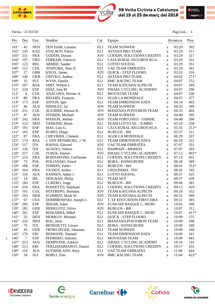



#### Fecha..: 21/03/18 Pag.Gral..: 3

|   | Pto.          | Dor.           | Pais       | Nombre                   | Cat                         | Equipo                        |              | hh:mm:ss | Ptos   |
|---|---------------|----------------|------------|--------------------------|-----------------------------|-------------------------------|--------------|----------|--------|
|   | $101^{\circ}$ | 42             | <b>NED</b> | TEN DAM, Laurens         | ELI                         | <b>TEAM SUNWEB</b>            | a            | 03:29    | 302    |
|   | $102^{\circ}$ | 145            | <b>KAZ</b> | STALNOV, Nikita          | ELI                         | <b>ASTANA PRO TEAM</b>        | a            | 03:29    | 311    |
|   | $103^{\circ}$ | 211            | <b>FRA</b> | GODON, Dorian            | <b>JOV</b>                  | COFIDIS, SOLUTIONS CREDITS    | $\rm{a}$     | 03:29    | 317    |
|   | $104^\circ$   | 197            | <b>URU</b> | FERRARI, Fabricio        | ELI                         | CAJA RURAL-SEGUROS RGA        | a            | 03:29    | 331    |
|   | $105^{\circ}$ | 123            | <b>BEL</b> | ARMEE, Sander            | $\mathop{\rm ELI}$          | <b>LOTTO SOUDAL</b>           | $\rm{a}$     | 03:29    | 351    |
|   | $106^{\circ}$ | 113            | <b>COL</b> | ATAPUMA, Jhon D.         | <b>ELI</b>                  | <b>UAE TEAM EMIRATES</b>      | $\rm{a}$     | 03:29    | 361    |
|   | $107^{\circ}$ | 27             | <b>GBR</b> | KNOX, James              | <b>JOV</b>                  | <b>QUICK - STEP FLOORS</b>    | a            | 03:52    | 316    |
|   | $108^{\circ}$ | 146            | <b>UKR</b> | GRIVKO, Andrey           | ELI                         | <b>ASTANA PRO TEAM</b>        | a            | 04:02    | $271*$ |
|   | $109^\circ$   | 35             | SUI        | WYSS, Danilo             | <b>ELI</b>                  | <b>BMC RACING TEAM</b>        | a            | 04:07    | 252    |
|   | $110^{\circ}$ | 107            | <b>RSA</b> | SMIT, Willem J.          | <b>ELI</b>                  | <b>TEAM KATUSHA ALPECIN</b>   | a            | 04:07    | 289    |
|   | $111^\circ$   | 224            | <b>ESP</b> | DIAZ, Jose M.            | <b>JOV</b>                  | ISRAEL CYCLING ACADEMY        | a            | 04:07    | 296    |
|   | $112^{\circ}$ | $\overline{4}$ | <b>COL</b> | ANACONA, Winner A.       | ELI                         | MOVISTAR TEAM                 | a            | 04:07    | 336    |
|   | $113^{\circ}$ | 86             | <b>FRA</b> | BIDARD, François         | ELI                         | <b>AG2R LA MONDIALE</b>       | a            | 04:07    | 377    |
|   | $114^{\circ}$ | 173            | <b>ESP</b> | ANTON, Igor              | <b>ELI</b>                  | <b>TEAM DIMENSION DATA</b>    | a            | 04:14    | 403    |
|   | $115^{\circ}$ | 46             | <b>AUS</b> | HINDLEY, Jai             | <b>JOV</b>                  | <b>TEAM SUNWEB</b>            | a            | 04:33    | 399    |
|   | $116^{\circ}$ | 231            | <b>COL</b> | AGUIRRE, Hernan R.       | <b>JOV</b>                  | MANZANA POSTOBON TEAM         | a            | 04:33    | 404    |
|   | $117^{\circ}$ | 47             | <b>AUS</b> | STORER, Michael          | <b>JOV</b>                  | <b>TEAM SUNWEB</b>            | a            | 04:40    | 395    |
|   | $118^{\circ}$ | 242            | <b>FRA</b> | MAISON, Jérémy           | $\rm JOV$                   | TEAM FORTUNEO - SAMSIC        | a            | 04:48    | 396    |
|   | 119°          | 153            | <b>NED</b> | TANKINK, Bram            | $\mathop{\rm ELI}$          | TEAM LOTTO NL - JUMBO         | $\rm{a}$     | 05:19    | 358    |
|   | $120^{\circ}$ | 191            | <b>ESP</b> | MAS, Luis G.             | $\mathop{\rm ELI}$          | CAJA RURAL-SEGUROS RGA        | a            | 05:35    | 212*   |
|   | $121^{\circ}$ | 185            | <b>ESP</b> | RUBIO, Diego             | ELI                         | <b>BURGOS - BH</b>            | a            | 05:57    | 321    |
|   | $122^{\circ}$ | 87             | <b>FRA</b> | CHEVRIER, Clement        | $\mathop{\rm ELI}$          | <b>AG2R LA MONDIALE</b>       | a            | 06:29    | 307    |
|   | $123^{\circ}$ | 174            | <b>RSA</b> | J. VAN RENSBURG, J. W.   | ELI                         | <b>TEAM DIMENSION DATA</b>    | a            | 06:29    | 322    |
|   | $124^{\circ}$ | 117            | <b>ITA</b> | RAVASI, Edward           | <b>JOV</b>                  | <b>UAE TEAM EMIRATES</b>      | $\rm{a}$     | 07:07    | 351    |
|   | $125^{\circ}$ | 136            | <b>ITA</b> | <b>AGNOLI</b> , Valerio  | ELI                         | <b>BAHRAIN - MERIDA</b>       | $\rm{a}$     | 07:07    | 392    |
|   | $126^{\circ}$ | 227            | <b>CZE</b> | TUREK, Daniel            | <b>JOV</b>                  | ISRAEL CYCLING ACADEMY        | $\mathbf{a}$ | 07:12    | 401*   |
|   | $127^{\circ}$ | 214            | <b>FRA</b> | BONNAFOND, Guillaume     | ELI                         | COFIDIS, SOLUTIONS CREDITS    | a            | 07:14    | 431    |
|   | $128^{\circ}$ | 73             | <b>POL</b> | POLJANSKI, Pawel         | <b>ELI</b>                  | <b>BORA - HANSGROHE</b>       | a            | 08:28    | 389    |
|   | 129°          | 186            | <b>ESP</b> | TORRES, Pablo            | ELI                         | <b>BURGOS - BH</b>            | a            | 08:41    | $351*$ |
|   | $130^\circ$   | 164            | <b>FRA</b> | VICHOT, Arthur           | <b>ELI</b>                  | <b>GROUPAMA - FDJ</b>         | $\rm{a}$     | 08:42    | 345    |
|   | $131^{\circ}$ | 126            | <b>AUS</b> | HANSEN, Adam J.          | $\mathop{\rm ELI}$          | <b>LOTTO SOUDAL</b>           | $\rm{a}$     | 08:57    | 425    |
|   | $132^{\circ}$ | 14             | IRL        | DEIGNAN, Philip          | $\mathop{\rm ELI}$          | <b>TEAM SKY</b>               | $\rm{a}$     | 08:57    | 439    |
|   | $133^\circ$   | 182            | <b>ESP</b> | CUBERO, Jorge            | $\mathop{\rm ELI}\nolimits$ | <b>BURGOS - BH</b>            | $\rm{a}$     | 09:06    | 381    |
|   | $134^\circ$   | 216            | <b>FRA</b> | ROSSETTO, Stéphane       | ELI                         | COFIDIS, SOLUTIONS CREDITS    | a            | 09:13    | 429    |
|   | $135^\circ$   | 101            | <b>COL</b> | RESTREPO, Jhonatan       | <b>JOV</b>                  | <b>TEAM KATUSHA ALPECIN</b>   | a            | 09:24    | 352    |
|   | $136^{\circ}$ | 103            | <b>DEN</b> | SCHMIDT, Mads W.         | <b>JOV</b>                  | <b>TEAM KATUSHA ALPECIN</b>   | $\mathbf{a}$ | 09:31    | 309    |
|   | $137^\circ$   | 97             | <b>USA</b> | DOMBROWSKI, Joseph L.    | ELI                         | T. EF EDUCATION FIRST-DRA     | a            | 09:31    | 385    |
|   | 138°          | 205            | <b>ESP</b> | IRIZAR, Julen            | JOV                         | EUSKADI BASQUE C.-MURI        | a            | 10:02    | 300    |
|   | $139^\circ$   | 181            | <b>GER</b> | HERKLOTZ, Silvio         | <b>JOV</b>                  | <b>BURGOS - BH</b>            | a            | 10:07    | 312    |
|   | $140^\circ$   | 201            | <b>ESP</b> | <b>BIZKARRA, Mikel</b>   | ELI                         | EUSKADI BASQUE C.-MURI        | a            | 10:07    | 417*   |
|   | $141^{\circ}$ | 25             | <b>DEN</b> | MORKOV, Michael          | ELI                         | <b>QUICK - STEP FLOORS</b>    | a            | 10:09    | 275    |
|   | $142^{\circ}$ | 232            | <b>NED</b> | BOL, Jetse               | ELI                         | MANZANA POSTOBON TEAM         | a            | 10:09    | 298    |
|   | $143^{\circ}$ | 76             | <b>ITA</b> | <b>BENEDETTI, Cesare</b> | ELI                         | <b>BORA - HANSGROHE</b>       | a            | 10:09    | 340    |
|   | $144^\circ$   | 45             | <b>GER</b> | FRÖHLINGER, Johannes     | ELI                         | <b>TEAM SUNWEB</b>            | a            | 10:09    | 340    |
|   | $145^\circ$   | 176            | ERI        | <b>BERHANE, Natnael</b>  | ELI                         | <b>TEAM DIMENSION DATA</b>    | a            | 10:09    | 341    |
| c | $146^\circ$   | $\tau$         | <b>ESP</b> | PEDRERO, Antonio         | ELI                         | MOVISTAR TEAM                 | a            | 10:09    | 443    |
|   | $147^\circ$   | 223            | <b>AUS</b> | DEMPSTER, Zakkari        | ELI                         | <b>ISRAEL CYCLING ACADEMY</b> | $\rm{a}$     | 10:16    | 316    |
|   | $148^\circ$   | 213            | ERI        | TEKLEHAIMANOT, Daniel    | ELI                         | COFIDIS, SOLUTIONS CREDITS    | a            | 10:17    | 435    |
|   | $149^\circ$   | 116            | <b>AUS</b> | SUTHERLAND, Rory         | ELI                         | <b>UAE TEAM EMIRATES</b>      | a            | 11:00    | 444    |
|   | $150^\circ$   | 34             | SUI        | <b>BOHLI, Tom</b>        | <b>JOV</b>                  | <b>BMC RACING TEAM</b>        | a            | 11:04    | 422*   |
|   |               |                |            |                          |                             |                               |              |          |        |

 $\mathcal{L}=\{1,2,3,4\}$  , we can consider the constant of  $\mathcal{L}=\{1,2,3,4\}$ 









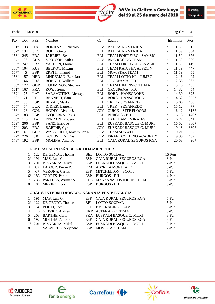



Fecha..: 21/03/18 Pag.Gral..: 4

| Pto.             | Dor. | Pais       | Nombre                    | Cat        | Equipo                        | hh:mm:ss |       | Ptos   |
|------------------|------|------------|---------------------------|------------|-------------------------------|----------|-------|--------|
| $151^{\circ}$    | 133  | ITA        | <b>BONIFAZIO, Niccolo</b> | <b>JOV</b> | <b>BAHRAIN - MERIDA</b>       | a        | 11:59 | 313    |
| $152^{\circ}$    | 134  | <b>SLO</b> | BOLE, Grega               | ELI        | <b>BAHRAIN - MERIDA</b>       | a        | 11:59 | 334    |
| $153^{\circ}$    | 245  | <b>FRA</b> | JARRIER, Benoit           | ELI        | TEAM FORTUNEO - SAMSIC        | a        | 11:59 | 376    |
| $154^\circ$      | 36   | <b>AUS</b> | <b>SCOTSON, Miles</b>     | <b>JOV</b> | <b>BMC RACING TEAM</b>        | a        | 11:59 | 380    |
| $155^\circ$      | 247  | <b>FRA</b> | VACHON, Florian           | ELI        | TEAM FORTUNEO - SAMSIC        | a        | 11:59 | 419    |
| $156^{\circ}$    | 104  | <b>RUS</b> | <b>BELKOV, Maxim</b>      | ELI        | <b>TEAM KATUSHA ALPECIN</b>   | a        | 11:59 | 447    |
| $157^{\circ}$    | 5    | <b>ESP</b> | ERVITI, Imanol            | ELI        | <b>MOVISTAR TEAM</b>          | a        | 11:59 | 455    |
| 158°             | 157  | <b>NED</b> | LINDEMAN, Bert-Jan        | ELI        | TEAM LOTTO NL - JUMBO         | a        | 12:16 | 402    |
| $159^\circ$      | 166  | <b>FRA</b> | <b>BONNET, William</b>    | ELI        | <b>GROUPAMA - FDJ</b>         | a        | 12:38 | 367    |
| $160^\circ$      | 177  | <b>GBR</b> | CUMMINGS, Stephen         | <b>ELI</b> | <b>TEAM DIMENSION DATA</b>    | a        | 13:10 | 433    |
| $161^\circ$      | 167  | <b>FRA</b> | ROY, Jérémy               | ELI        | <b>GROUPAMA - FDJ</b>         | a        | 14:32 | 454    |
| $162^{\circ}$    | 75   | <b>LAT</b> | SARAMOTINS, Aleksejs      | ELI        | <b>BORA - HANSGROHE</b>       | a        | 14:39 | 323    |
| $163^\circ$      | 71   | IRL        | BENNETT, Sam              | ELI        | <b>BORA - HANSGROHE</b>       | a        | 14:52 | $325*$ |
| $164^{\circ}$    | 56   | <b>ESP</b> | <b>IRIZAR, Markel</b>     | ELI        | TREK - SEGAFREDO              | a        | 15:00 | 458    |
| $165^\circ$      | 54   | <b>LUX</b> | <b>DIDIER, Laurent</b>    | ELI        | TREK - SEGAFREDO              | a        | 15:12 | 477    |
| 166°             | 26   | <b>COL</b> | HODEG, Alvaro J.          | <b>JOV</b> | <b>QUICK - STEP FLOORS</b>    | a        | 16:12 | 318*   |
| $167^\circ$      | 183  | <b>ESP</b> | EZQUERRA, Jesus           | ELI        | <b>BURGOS - BH</b>            | a        | 16:18 | 470*   |
| 168°             | 115  | <b>ITA</b> | FERRARI, Roberto          | ELI        | <b>UAE TEAM EMIRATES</b>      | a        | 16:22 | 341    |
| $169^\circ$      | 206  | <b>ESP</b> | SANZ, Enrique             | ELI        | EUSKADI BASQUE C.-MURI        | a        | 16:52 | $360+$ |
| $170^{\circ}$    | 203  | <b>FRA</b> | <b>BARTHE, Cyril</b>      | <b>JOV</b> | EUSKADI BASQUE C.-MURI        | a        | 19:18 | 380*   |
| $171^\circ$      | 43   | <b>GER</b> | WALSCHEID, Maximilian R.  | <b>JOV</b> | <b>TEAM SUNWEB</b>            | a        | 19:21 | 357    |
| $172^{\circ}$    | 226  | <b>ISR</b> | <b>GOLDSTEIN, Roy</b>     | <b>JOV</b> | ISRAEL CYCLING ACADEMY        | a        | 19:35 | 487    |
| 173 <sup>°</sup> | 192  | <b>ESP</b> | MOLINA, Antonio           | ELI        | <b>CAJA RURAL-SEGUROS RGA</b> | a        | 20:58 | 496*   |
|                  |      |            |                           |            |                               |          |       |        |

#### **GENERAL MONTAÑA/BCO-ROJO-CARREFOUR**

|  | 1° 122 DE GENDT, Thomas      | BEL LOTTO SOUDAL           | $15-Pun$ |
|--|------------------------------|----------------------------|----------|
|  | $2^{\circ}$ 191 MAS, Luis G. | ESP CAJA RURAL-SEGUROS RGA | 8-Pun    |
|  | 3° 201 BIZKARRA, Mikel       | ESP EUSKADI BASQUE C.-MURI | 7-Pun    |
|  | 4° 82 LATOUR, Pierre R.      | FRA AG2R LA MONDIALE       | $5-Pun$  |
|  | 5° 67 VERONA, Carlos         | ESP MITCHELTON - SCOTT     | $5-Pun$  |
|  | 6° 186 TORRES, Pablo         | ESP BURGOS - BH            | 4-Pun    |
|  | 7° 235 PAREDES, Wilmar A.    | COL MANZANA POSTOBON TEAM  | $3-Pun$  |
|  | 8° 184 MERINO, Igor          | ESP BURGOS - BH            | $3-Pun$  |

#### **GRAL S. INTERMEDIOS/BCO-NARANJA-FENIE ENERGIA**

|  | $1^{\circ}$ 191 MAS, Luis G. | ESP CAJA RURAL-SEGUROS RGA | $5-Pun$ |
|--|------------------------------|----------------------------|---------|
|  | 2° 122 DE GENDT, Thomas      | BEL LOTTO SOUDAL           | $5-Pun$ |
|  | $3^{\circ}$ 34 BOHLI, Tom    | <b>SUI BMC RACING TEAM</b> | $5-Pun$ |
|  | 4° 146 GRIVKO, Andrey        | UKR ASTANA PRO TEAM        | $5-Pun$ |
|  | 5° 203 BARTHE, Cyril         | FRA EUSKADI BASQUE C.-MURI | $3-Pun$ |
|  | 6° 192 MOLINA, Antonio       | ESP CAJA RURAL-SEGUROS RGA | $3-Pun$ |
|  | 7° 201 BIZKARRA, Mikel       | ESP EUSKADI BASQUE C.-MURI | $2-Pun$ |
|  | 8° 1 VALVERDE, Alejandro     | ESP MOVISTAR TEAM          | 2-Pun   |









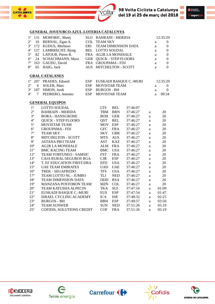





#### **GENERAL JOVEN/BCO-AZUL-LOTERIA CATALUNYA**

|  | 1º 131 MOHORIC, Matej          | SLO BAHRAIN - MERIDA    |   | 12:35:29 |
|--|--------------------------------|-------------------------|---|----------|
|  | $2^{\circ}$ 16 BERNAL, Egan A. | <b>COL TEAM SKY</b>     | a | $\Omega$ |
|  | 3° 172 KUDUS, Merhawi          | ERI TEAM DIMENSION DATA | a | $\Omega$ |
|  | 4° 127 LAMBRECHT, Bjorg        | BEL LOTTO SOUDAL        | a | $\Omega$ |
|  | 5° 82 LATOUR, Pierre R.        | FRA AG2R LA MONDIALE    | a | $\Omega$ |
|  | 6° 24 SCHACHMANN, Maxi.        | GER QUICK - STEP FLOORS | a | $\Omega$ |
|  | 7° 163 GAUDU, David            | FRA GROUPAMA - FDJ      | a | $\Omega$ |
|  | 8° 65 HAIG, Jack               | AUS MITCHELTON - SCOTT  | a | $\Omega$ |
|  |                                |                         |   |          |

#### **GRAL CATALANES**

|  | 1° 207 PRADES, Eduard     | ESP EUSKADI BASQUE C.-MURI |              | 12:35:29       |
|--|---------------------------|----------------------------|--------------|----------------|
|  | $2^{\circ}$ 6 SOLER, Marc | ESP MOVISTAR TEAM          | $a \sim$     | - 0            |
|  | 3° 187 SIMON, Jordi       | ESP BURGOS - BH            | $\mathbf{a}$ | $\overline{0}$ |
|  | 4° 7 PEDRERO, Antonio     | ESP MOVISTAR TEAM          |              | a $09:34$      |

#### **GENERAL EQUIPOS**

| $1^{\circ}$     | <b>LOTTO SOUDAL</b>           | LTS.       | <b>BEL</b> | 37:46:07 |   |       |
|-----------------|-------------------------------|------------|------------|----------|---|-------|
| $2^{\circ}$     | <b>BAHRAIN - MERIDA</b>       | TBM        | <b>BRN</b> | 37:46:27 | a | 20    |
| $3^{\circ}$     | <b>BORA - HANSGROHE</b>       | <b>BOH</b> | <b>GER</b> | 37:46:27 | a | 20    |
| $4^{\circ}$     | <b>QUICK - STEP FLOORS</b>    | <b>OST</b> | <b>BEL</b> | 37:46:27 | a | 20    |
| $5^{\circ}$     | <b>MOVISTAR TEAM</b>          | <b>MOV</b> | <b>ESP</b> | 37:46:27 | a | 20    |
| $6^{\circ}$     | <b>GROUPAMA - FDJ</b>         | <b>GFC</b> | <b>FRA</b> | 37:46:27 | a | 20    |
| $7^{\circ}$     | <b>TEAM SKY</b>               | <b>SKY</b> | <b>GBR</b> | 37:46:27 | a | 20    |
| $8^{\circ}$     | <b>MITCHELTON - SCOTT</b>     | <b>MTS</b> | <b>AUS</b> | 37:46:27 | a | 20    |
| $9^{\circ}$     | ASTANA PRO TEAM               | AST        | KAZ        | 37:46:27 | a | 20    |
| $10^{\circ}$    | <b>AG2R LA MONDIALE</b>       | <b>ALM</b> | <b>FRA</b> | 37:46:27 | a | 20    |
| $11^{\circ}$    | <b>BMC RACING TEAM</b>        | <b>BMC</b> | <b>USA</b> | 37:46:27 | a | 20    |
| $12^{\circ}$    | <b>TEAM FORTUNEO - SAMSIC</b> | <b>FST</b> | <b>FRA</b> | 37:46:27 | a | 20    |
| $13^{\circ}$    | CAJA RURAL-SEGUROS RGA        | <b>CJR</b> | <b>ESP</b> | 37:46:27 | a | 20    |
| $14^{\circ}$    | T. EF EDUCATION FIRST-DRA     | <b>EFD</b> | <b>USA</b> | 37:46:27 | a | 20    |
| $15^{\circ}$    | <b>UAE TEAM EMIRATES</b>      | <b>UAD</b> | <b>UAE</b> | 37:46:27 | a | 20    |
| $16^{\circ}$    | <b>TREK - SEGAFREDO</b>       | <b>TFS</b> | <b>USA</b> | 37:46:27 | a | 20    |
| 17 <sup>°</sup> | TEAM LOTTO NL - JUMBO         | TLJ        | <b>NED</b> | 37:46:27 | a | 20    |
| $18^{\circ}$    | <b>TEAM DIMENSION DATA</b>    | <b>DDD</b> | <b>RSA</b> | 37:46:27 | a | 20    |
| 19 <sup>°</sup> | <b>MANZANA POSTOBON TEAM</b>  | <b>MZN</b> | <b>COL</b> | 37:46:27 | a | 20    |
| $20^{\circ}$    | <b>TEAM KATUSHA ALPECIN</b>   | TKA        | <b>SUI</b> | 37:47:16 | a | 01:09 |
| $21^{\circ}$    | EUSKADI BASQUE C.-MURI        | <b>EUS</b> | <b>ESP</b> | 37:47:54 | a | 01:47 |
| $22^{\circ}$    | <b>ISRAEL CYCLING ACADEMY</b> | ICA.       | <b>ISR</b> | 37:48:32 | a | 02:25 |
| $23^{\circ}$    | <b>BURGOS - BH</b>            | <b>BBH</b> | <b>ESP</b> | 37:49:57 | a | 03:50 |
| $24^{\circ}$    | <b>TEAM SUNWEB</b>            | <b>SUN</b> | <b>NED</b> | 37:51:26 | a | 05:19 |
| $25^{\circ}$    | COFIDIS, SOLUTIONS CREDIT     | <b>COF</b> | <b>FRA</b> | 37:51:26 | a | 05:19 |









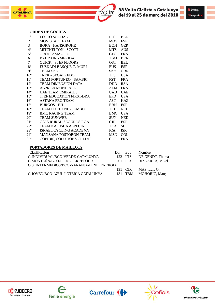



#### **ORDEN DE COCHES**

| $1^{\circ}$     | <b>LOTTO SOUDAL</b>           | <b>LTS</b> | <b>BEL</b> |
|-----------------|-------------------------------|------------|------------|
| $2^{\circ}$     | <b>MOVISTAR TEAM</b>          | <b>MOV</b> | <b>ESP</b> |
| $3^{\circ}$     | <b>BORA - HANSGROHE</b>       | <b>BOH</b> | <b>GER</b> |
| $4^{\circ}$     | <b>MITCHELTON - SCOTT</b>     | MTS        | <b>AUS</b> |
| $5^{\circ}$     | <b>GROUPAMA - FDJ</b>         | <b>GFC</b> | <b>FRA</b> |
| $6^{\circ}$     | <b>BAHRAIN - MERIDA</b>       | TBM        | <b>BRN</b> |
| $7^{\circ}$     | <b>QUICK - STEP FLOORS</b>    | QST        | <b>BEL</b> |
| $8^{\circ}$     | EUSKADI BASQUE C.-MURI        | EUS        | <b>ESP</b> |
| $9^{\circ}$     | <b>TEAM SKY</b>               | SKY        | <b>GBR</b> |
| $10^{\circ}$    | <b>TREK - SEGAFREDO</b>       | <b>TFS</b> | <b>USA</b> |
| $11^{\circ}$    | TEAM FORTUNEO - SAMSIC        | <b>FST</b> | <b>FRA</b> |
| $12^{\circ}$    | <b>TEAM DIMENSION DATA</b>    | DDD.       | <b>RSA</b> |
| $13^{\circ}$    | AG2R LA MONDIALE              | ALM        | FR A       |
| $14^{\circ}$    | <b>UAE TEAM EMIRATES</b>      | UAD        | <b>UAE</b> |
| $15^{\circ}$    | T. EF EDUCATION FIRST-DRA     | <b>EFD</b> | <b>USA</b> |
| $16^{\circ}$    | <b>ASTANA PRO TEAM</b>        | AST        | KAZ        |
| $17^{\circ}$    | <b>BURGOS - BH</b>            | BBH        | ESP        |
| $18^{\circ}$    | TEAM LOTTO NL - JUMBO         | TLJ        | <b>NED</b> |
| 19 <sup>°</sup> | <b>BMC RACING TEAM</b>        | BMC        | <b>USA</b> |
| $20^{\circ}$    | <b>TEAM SUNWEB</b>            | SUN        | <b>NED</b> |
| $21^{\circ}$    | CAJA RURAL-SEGUROS RGA        | $C$ JR     | <b>ESP</b> |
| $22^{\circ}$    | TEAM KATUSHA ALPECIN          | TKA        | <b>SUI</b> |
| $23^{\circ}$    | <b>ISRAEL CYCLING ACADEMY</b> | <b>ICA</b> | <b>ISR</b> |
| $24^{\circ}$    | <b>MANZANA POSTOBON TEAM</b>  | MZN        | <b>COL</b> |
| $25^{\circ}$    | COFIDIS, SOLUTIONS CREDIT     | COF        | <b>FRA</b> |
|                 |                               |            |            |

#### **PORTADORES DE MAILLOTS**

| Clasificación                              | Dor. Equ |         | Nombre                  |
|--------------------------------------------|----------|---------|-------------------------|
| G.INDIVIDUAL/BCO-VERDE-CATALUNYA           |          | 122 LTS | DE GENDT, Thomas        |
| G.MONTAÑA/BCO-ROJO-CARREFOUR               |          |         | 201 EUS BIZKARRA, Mikel |
| G.S. INTERMEDIOS/BCO-NARANJA-FENIE ENERGIA |          |         |                         |
|                                            |          |         | 191 CJR MAS, Luis G.    |
| G.JOVEN/BCO-AZUL-LOTERIA CATALUNYA         |          |         | 131 TBM MOHORIC, Matej  |









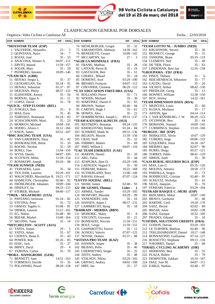

**CATALUNYA** 

### 98 Volta Ciclista a Catalunya<br>del 19 al 25 de març del 2018



### CLASIFICACION GENERAL POR DORSALES

volta

Organiza.:Volta Ciclista a Catalunya AE Fecha..: 22/03/2018

| <b>DOR NOMBRE</b>                       | DIF - GRAL                | <b>DOR NOMBRE</b>                       |                               | DIF - GRAL | <b>DOR NOMBRE</b>                                 |                                | DIF - GRAL |
|-----------------------------------------|---------------------------|-----------------------------------------|-------------------------------|------------|---------------------------------------------------|--------------------------------|------------|
| *MOVISTAR TEAM (ESP)                    |                           | 74 MÜHLBERGER, Gregor                   |                               | $35 - 32$  | *TEAM LOTTO NL - JUMBO (NED)                      |                                |            |
| 1 VALVERDE, Alejandro                   | $23 - 2$                  | 75 SARAMOTINS, Aleksejs                 | 14:39 - 162                   |            | 151 KRUIJSWIJK, Steven                            |                                | 35 - 36    |
| 2 QUINTANA, Nairo                       | $34 - 7$                  | 76 BENEDETTI, Cesare                    | $10:09 - 143$                 |            | 152 BENNETT, George                               |                                | $35 - 31$  |
| 3 ROJAS, José                           | $35 - 53$                 | 77 MCCARTHY, Jay                        |                               | $27 - 3$   | 153 TANKINK, Bram                                 | $05:19 - 119$                  |            |
| 4 ANACONA, Winner A.                    | $04:07 - 112$             | *AG2R LA MONDIALE (FRA)                 |                               |            | 154 CLEMENT, Stef                                 |                                | 35 - 49    |
| 5 ERVITI, Imanol                        | $11:59 - 157$             | 81 FRANK, Mathias                       |                               | $35 - 28$  | 156 DE TIER, Floris                               |                                | $35 - 63$  |
| 6 SOLER, Marc                           | $35 - 29$                 | 82 LATOUR, Pierre R.                    |                               | $35 - 19$  | 157 LINDEMAN, Bert-Jan                            | $12:16 - 158$                  |            |
| 7 PEDRERO, Antonio                      | 10:09 - 146               | 83 GASTAUER, Ben                        |                               | $35 - 51$  | *GROUPAMA - FDJ (FRA)                             |                                |            |
| *TEAM SKY (GBR)                         |                           | 84 CHEREL, Mikael                       |                               | $35 - 24$  | 161 PINOT, Thibaut                                |                                | $31 - 6$   |
| 11 HENAO, Sergio L.                     | $35 - 37$                 | 85 DOMONT, Axel                         | $03:29 - 100$                 |            | 162 REICHENBACH, Sébastien                        |                                | $35 - 77$  |
| 12 GEOGHEGAN, Tao                       | $02:18 - 91$              | 86 BIDARD, François                     | $04:07 - 113$                 |            | 163 GAUDU, David                                  |                                | $35 - 26$  |
| 13 HENAO, Sebastian                     | $01:37 - 87$              | 87 CHEVRIER, Clement                    | $06:29 - 122$                 |            | 164 VICHOT, Arthur                                | $08:42 - 130$                  |            |
| 14 DEIGNAN, Philip                      | $08:57 - 132$             | *T. EF EDUCATION FIRST-DRA (USA)        |                               |            | 165 PREIDLER, Georg                               |                                | $35 - 13$  |
| 15 ELISSONDE, Kenny                     | $35 - 56$                 | 91 ROLLAND, Pierre                      |                               | $35 - 71$  | 166 BONNET, William                               | $12:38 - 159$                  |            |
| 16 BERNAL, Egan A.                      | $35 - 11$                 | 92 WOODS, Michael                       |                               | $35 - 39$  | 167 ROY, Jérémy                                   | 14:32 - 161                    |            |
| 17 LOPEZ, David                         | $35 - 78$                 | 93 MARTINEZ, Daniel F.                  |                               | $35 - 65$  | *TEAM DIMENSION DATA (RSA)                        |                                |            |
| *QUICK - STEP FLOORS (BEL)              |                           | 94 BROWN, Nathan                        | $02:40 - 94$                  |            | 171 MEINTJES, Louis                               |                                | $35 - 60$  |
| 21 JUNGELS, Bob                         | $35 - 9$                  | 95 CARTHY, Hugh J.                      |                               | $35 - 61$  | 172 KUDUS, Merhawi                                |                                | $35 - 17$  |
| 22 MAS, Enric                           | $35 - 45$                 | 96 HOWES, Alex                          |                               | $35 - 22$  | 173 ANTON, Igor                                   | $04:14 - 114$                  |            |
| 23 NARVAEZ, Jhonnatan                   | $01:24 - 83$              | 97 DOMBROWSKI, Joseph L.                | 09:31 - 137                   |            | 174 J. VAN RENSBURG, J. W.                        | $06:29 - 123$                  |            |
| 24 SCHACHMANN, Maxi.                    | $35 - 23$                 | *TEAM KATUSHA ALPECIN (SUI)             |                               |            | 175 O'CONNOR, Ben                                 |                                | 35 - 64    |
| 25 MORKOV, Michael                      | $10:09 - 141$             | 101 RESTREPO, Jhonatan                  | $09:24 - 135$                 |            | 176 BERHANE, Natnael                              | 10:09 - 145                    |            |
| 26 HODEG, Alvaro J.                     | $16:12 - 166$             | 102 KISERLOVSKI, Robert                 | $01:24 - 84$                  |            | 177 CUMMINGS, Stephen                             | $13:10 - 160$                  |            |
| 27 KNOX, James                          | $03:52 - 107$             | 103 SCHMIDT, Mads W.                    | $09:31 - 136$                 |            | *BURGOS - BH (ESP)                                |                                |            |
| *BMC RACING TEAM (USA)                  |                           | 104 BELKOV, Maxim                       | 11:59 - 156                   |            | 181 HERKLOTZ, Silvio                              | $10:07 - 139$                  |            |
| 31 VAN GARDEREN, Tejay                  | $35 - 42$                 | 105 CRAS, Steff                         |                               | $35 - 52$  | 182 CUBERO, Jorge                                 | $09:06 - 133$                  |            |
| 32 BOOKWALTER, Brent                    | $35 - 33$                 | 106 FABBRO, Matteo                      |                               | $35 - 69$  | 183 EZQUERRA, Jesus                               | $16:18 - 167$                  |            |
| 33 ROCHE, Nicolas                       | $35 - 59$                 | 107 SMIT, Willem J.                     | $04:07 - 110$                 |            | 184 MERINO, Igor                                  | $02:07 - 90$                   |            |
| 34 BOHLI, Tom                           | $11:04 - 150$             | *UAE TEAM EMIRATES (UAE)                |                               |            | 185 RUBIO, Diego                                  | $05:57 - 121$                  |            |
| 35 WYSS, Danilo                         | $04:07 - 109$             | 111 MARTIN, Daniel                      |                               | $35 - 20$  | 186 TORRES, Pablo                                 | $08:41 - 129$                  |            |
| 36 SCOTSON, Miles                       | 11:59 - 154               | 112 ARU, Fabio                          |                               | $35 - 44$  | 187 SIMON, Jordi                                  |                                | $35 - 30$  |
| 37 ROSSKOPF, Joseph                     | $03:29 - 98$              | 113 ATAPUMA, Jhon D.                    | $03:29 - 106$                 |            | *CAJA RURAL-SEGUROS RGA (ESP)                     |                                |            |
| *TEAM SUNWEB (NED)                      |                           | 114 LAENGEN, Vegard S.                  |                               | $35 - 50$  | 191 MAS, Luis G.                                  | $05:35 - 120$                  |            |
| 41 VERVAEKE, Louis                      | $35 - 34$                 | 115 FERRARI, Roberto                    | $16:22 - 168$                 |            | 192 MOLINA, Antonio                               | $20:58 - 173$                  |            |
| 42 TEN DAM, Laurens                     | $03:29 - 101$             | 116 SUTHERLAND, Rory                    | $11:00 - 149$                 |            | 193 PARDILLA, Sergio                              |                                | $35 - 73$  |
| 43 WALSCHEID, Maximilian R. 19:21 - 171 |                           | 117 RAVASI, Edward                      | 07:07 - 124                   |            | 194 RODRIGUEZ, Cristian                           | $02:40 - 95$                   |            |
| 44 HAMILTON, Christopher                | $02:40 - 92$              | *LOTTO SOUDAL (BEL)                     |                               |            | 195 SCHULTZ, Nicholas                             |                                | $35 - 41$  |
| 45 FRÖHLINGER, Johannes                 | 10:09 - 144               | 121 SHAW, James                         | $02:40 - 93$                  |            | 196 SILVA, Joaquim                                |                                | $35 - 76$  |
| 46 HINDLEY, Jai                         | $04:33 - 115$             | 122 DE GENDT, Thomas                    | Lider - 1                     |            | 197 FERRARI, Fabricio                             | $03:29 - 104$                  |            |
| 47 STORER, Michael                      | $04:40 - 117$             | 123 ARMEE, Sander                       | $03:29 - 105$                 |            | *EUSKADI BASQUE C.-MURI (ESP)                     |                                |            |
| *TREK - SEGAFREDO (USA)                 |                           | 124 MONFORT, Maxime                     | $03:29 - 99$                  |            | 201 BIZKARRA, Mikel                               | $10:07 - 140$                  |            |
| 51 PANTANO, Jarlinson                   |                           | 01:24 - 82 125 VANENDERT, Jelle         |                               | $35 - 16$  | 202 BRAVO, Garikoitz                              |                                | $35 - 40$  |
| 52 STETINA, Peter                       | $35 - 75$                 | 126 HANSEN, Adam J.                     | $08:57 - 131$                 |            | 203 BARTHE, Cyril                                 | $19:18 - 170$                  |            |
| 53 GRMAY, Tsgabu G.                     | $01:08 - 81$              | 127 LAMBRECHT, Bjorg                    |                               | $35 - 18$  | 204 SAEZ, Hector                                  | $02:02 - 89$                   |            |
| 54 DIDIER, Laurent                      | $15:12 - 165$             | *BAHRAIN - MERIDA (BRN)                 |                               |            | 205 IRIZAR, Julen                                 | $10:02 - 138$                  |            |
| 55 EG, Niklas                           | $01:08 - 80$              | 131 MOHORIC, Matej                      |                               | $35 - 8$   | 206 SANZ, Enrique                                 | $16:52 - 169$                  |            |
| 56 IRIZAR, Markel                       | $15:00 - 164$             | 132 VISCONTI, Giovanni                  |                               | $35 - 21$  | 207 PRADES, Eduard                                |                                | $35 - 10$  |
| 57 SKUJINS, Toms                        | 35 - 14                   | 133 BONIFAZIO, Niccolo                  | $11:59 - 151$                 |            | *COFIDIS, SOLUTIONS CREDITS (FRA)                 |                                |            |
| *MITCHELTON - SCOTT (AUS)               |                           | 134 BOLE, Grega                         | $11:59 - 152$                 |            | 211 GODON, Dorian                                 | $03:29 - 103$                  |            |
| 61 YATES, Simon                         | $29 - 5$                  | 135 GASPAROTTO, Enrico                  |                               | $35 - 12$  | 212 LE TURNIER, Mathias                           | $02:40 - 96$                   |            |
| 62 YATES, Adam                          | $35 - 67$<br>$35 - 43$    | 136 AGNOLI, Valerio<br>137 NOVAK, Domen | $07:07 - 125$<br>$01:57 - 88$ |            | 213 TEKLEHAIMANOT, Daniel                         | $10:17 - 148$<br>$07:14 - 127$ |            |
| 63 CHAVES, Jhoan E.                     |                           |                                         |                               |            | 214 BONNAFOND, Guillaume                          |                                |            |
| 64 POWER, Rob                           | $01:26 - 85$<br>$35 - 27$ | *ASTANA PRO TEAM (KAZ)                  |                               | $35 - 38$  | 216 ROSSETTO, Stéphane                            | $09:13 - 134$                  | $35 - 68$  |
| 65 HAIG, Jack<br>66 IMPEY, Daryl        | $29 - 4$                  | 141 HANSEN, Jesper<br>142 BILBAO, Pello |                               | $35 - 46$  | 217 NAVARRO, Daniel                               |                                |            |
| 67 VERONA, Carlos                       | $35 - 70$                 | 143 CHERNETSKI, Sergei                  |                               | $35 - 25$  | *ISRAEL CYCLING ACADEMY (ISR)<br>221 HERMANS, Ben |                                | 35 - 55    |
| *BORA - HANSGROHE (GER)                 |                           | 144 ZEITS, Andrey                       |                               | $35 - 48$  | 222 PLAZA, Ruben                                  |                                | $35 - 79$  |
| 71 BENNETT, Sam                         | 14:52 - 163               | 145 STALNOV, Nikita                     | $03:29 - 102$                 |            | 223 DEMPSTER, Zakkari                             | $10:16 - 147$                  |            |
| 72 FORMOLO, Davide                      | $35 - 35$                 | 146 GRIVKO, Andrey                      | $04:02 - 108$                 |            | 224 DIAZ, Jose M.                                 | $04:07 - 111$                  |            |
| 73 POLJANSKI, Pawel                     | $08:28 - 128$             | 147 HIRT, Jan                           |                               | $35 - 57$  | 225 EARLE, Nathan                                 | $02:40 - 97$                   |            |